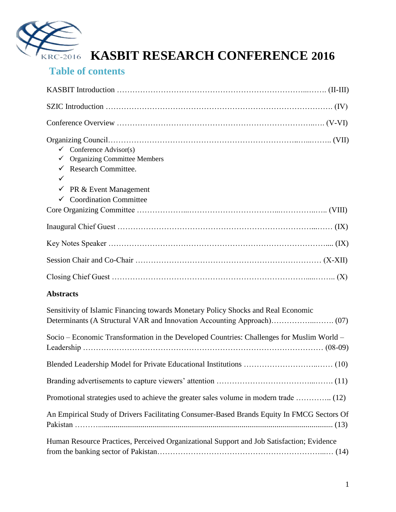

### **Table of contents**

| $\checkmark$ Conference Advisor(s)<br><b>Organizing Committee Members</b><br>✓<br>$\checkmark$ Research Committee.<br>✓<br>PR & Event Management<br>$\checkmark$<br>$\checkmark$ Coordination Committee |
|---------------------------------------------------------------------------------------------------------------------------------------------------------------------------------------------------------|
|                                                                                                                                                                                                         |
|                                                                                                                                                                                                         |
|                                                                                                                                                                                                         |
|                                                                                                                                                                                                         |
|                                                                                                                                                                                                         |
| <b>Abstracts</b>                                                                                                                                                                                        |
| Sensitivity of Islamic Financing towards Monetary Policy Shocks and Real Economic                                                                                                                       |
| Socio – Economic Transformation in the Developed Countries: Challenges for Muslim World –                                                                                                               |
|                                                                                                                                                                                                         |
|                                                                                                                                                                                                         |
| Promotional strategies used to achieve the greater sales volume in modern trade  (12)                                                                                                                   |
| An Empirical Study of Drivers Facilitating Consumer-Based Brands Equity In FMCG Sectors Of                                                                                                              |

Human Resource Practices, Perceived Organizational Support and Job Satisfaction; Evidence from the banking sector of Pakistan………………………………………………………...… (14)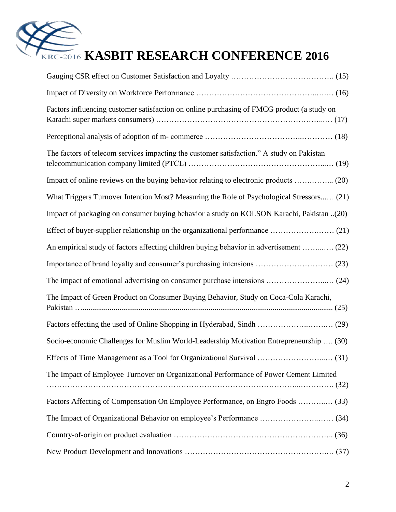

| Factors influencing customer satisfaction on online purchasing of FMCG product (a study on |
|--------------------------------------------------------------------------------------------|
|                                                                                            |
| The factors of telecom services impacting the customer satisfaction." A study on Pakistan  |
| Impact of online reviews on the buying behavior relating to electronic products  (20)      |
| What Triggers Turnover Intention Most? Measuring the Role of Psychological Stressors (21)  |
| Impact of packaging on consumer buying behavior a study on KOLSON Karachi, Pakistan (20)   |
|                                                                                            |
| An empirical study of factors affecting children buying behavior in advertisement  (22)    |
|                                                                                            |
|                                                                                            |
| The Impact of Green Product on Consumer Buying Behavior, Study on Coca-Cola Karachi,       |
|                                                                                            |
| Socio-economic Challenges for Muslim World-Leadership Motivation Entrepreneurship  (30)    |
|                                                                                            |
| The Impact of Employee Turnover on Organizational Performance of Power Cement Limited      |
| Factors Affecting of Compensation On Employee Performance, on Engro Foods  (33)            |
|                                                                                            |
|                                                                                            |
|                                                                                            |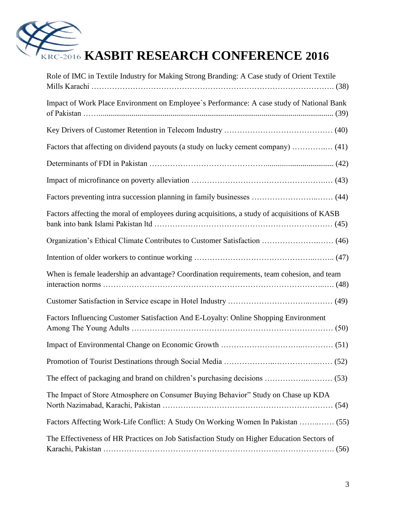

| Role of IMC in Textile Industry for Making Strong Branding: A Case study of Orient Textile    |
|-----------------------------------------------------------------------------------------------|
| Impact of Work Place Environment on Employee's Performance: A case study of National Bank     |
|                                                                                               |
| Factors that affecting on dividend payouts (a study on lucky cement company)  (41)            |
|                                                                                               |
|                                                                                               |
|                                                                                               |
| Factors affecting the moral of employees during acquisitions, a study of acquisitions of KASB |
|                                                                                               |
|                                                                                               |
| When is female leadership an advantage? Coordination requirements, team cohesion, and team    |
|                                                                                               |
| Factors Influencing Customer Satisfaction And E-Loyalty: Online Shopping Environment          |
|                                                                                               |
|                                                                                               |
|                                                                                               |
| The Impact of Store Atmosphere on Consumer Buying Behavior" Study on Chase up KDA             |
| Factors Affecting Work-Life Conflict: A Study On Working Women In Pakistan  (55)              |
| The Effectiveness of HR Practices on Job Satisfaction Study on Higher Education Sectors of    |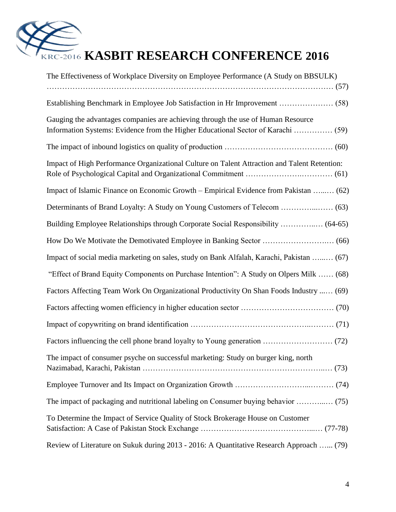

| The Effectiveness of Workplace Diversity on Employee Performance (A Study on BBSULK)         |
|----------------------------------------------------------------------------------------------|
|                                                                                              |
| Gauging the advantages companies are achieving through the use of Human Resource             |
|                                                                                              |
| Impact of High Performance Organizational Culture on Talent Attraction and Talent Retention: |
| Impact of Islamic Finance on Economic Growth - Empirical Evidence from Pakistan  (62)        |
|                                                                                              |
| Building Employee Relationships through Corporate Social Responsibility  (64-65)             |
|                                                                                              |
| Impact of social media marketing on sales, study on Bank Alfalah, Karachi, Pakistan  (67)    |
| "Effect of Brand Equity Components on Purchase Intention": A Study on Olpers Milk  (68)      |
| Factors Affecting Team Work On Organizational Productivity On Shan Foods Industry  (69)      |
|                                                                                              |
|                                                                                              |
|                                                                                              |
| The impact of consumer psyche on successful marketing: Study on burger king, north           |
|                                                                                              |
| The impact of packaging and nutritional labeling on Consumer buying behavior  (75)           |
| To Determine the Impact of Service Quality of Stock Brokerage House on Customer              |
| Review of Literature on Sukuk during 2013 - 2016: A Quantitative Research Approach  (79)     |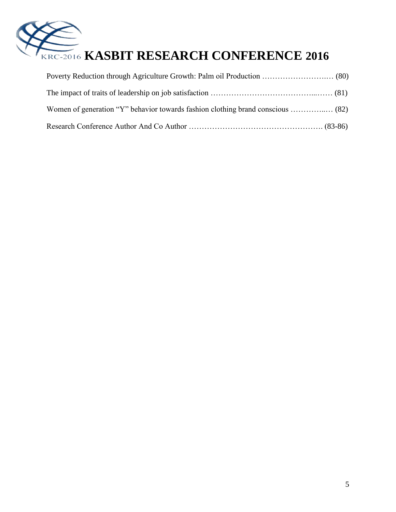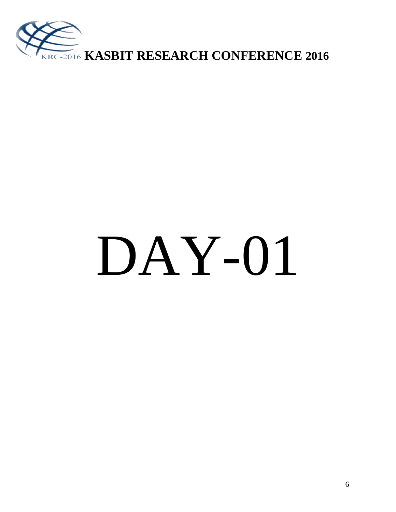

# DAY-01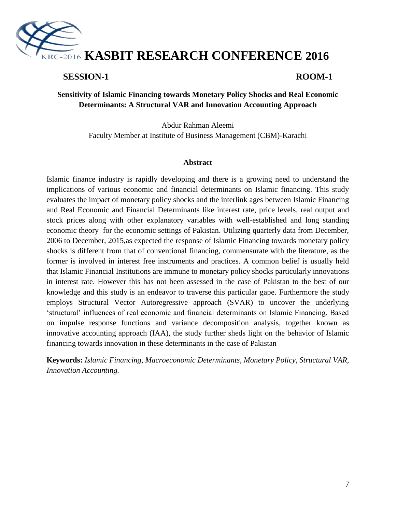

#### **SESSION-1 ROOM-1**

#### **Sensitivity of Islamic Financing towards Monetary Policy Shocks and Real Economic Determinants: A Structural VAR and Innovation Accounting Approach**

Abdur Rahman Aleemi Faculty Member at Institute of Business Management (CBM)-Karachi

#### **Abstract**

Islamic finance industry is rapidly developing and there is a growing need to understand the implications of various economic and financial determinants on Islamic financing. This study evaluates the impact of monetary policy shocks and the interlink ages between Islamic Financing and Real Economic and Financial Determinants like interest rate, price levels, real output and stock prices along with other explanatory variables with well-established and long standing economic theory for the economic settings of Pakistan. Utilizing quarterly data from December, 2006 to December, 2015,as expected the response of Islamic Financing towards monetary policy shocks is different from that of conventional financing, commensurate with the literature, as the former is involved in interest free instruments and practices. A common belief is usually held that Islamic Financial Institutions are immune to monetary policy shocks particularly innovations in interest rate. However this has not been assessed in the case of Pakistan to the best of our knowledge and this study is an endeavor to traverse this particular gape. Furthermore the study employs Structural Vector Autoregressive approach (SVAR) to uncover the underlying "structural" influences of real economic and financial determinants on Islamic Financing. Based on impulse response functions and variance decomposition analysis, together known as innovative accounting approach (IAA), the study further sheds light on the behavior of Islamic financing towards innovation in these determinants in the case of Pakistan

**Keywords:** *Islamic Financing, Macroeconomic Determinants, Monetary Policy, Structural VAR, Innovation Accounting.*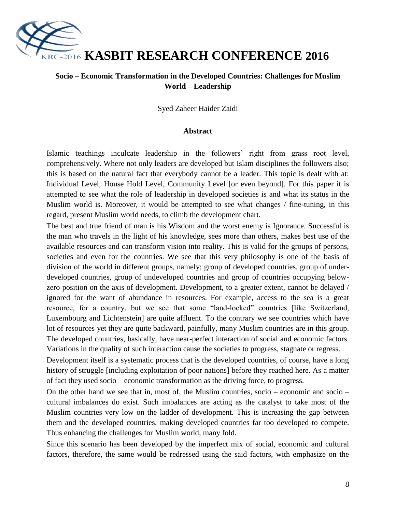

#### **Socio – Economic Transformation in the Developed Countries: Challenges for Muslim World – Leadership**

Syed Zaheer Haider Zaidi

#### **Abstract**

Islamic teachings inculcate leadership in the followers' right from grass root level, comprehensively. Where not only leaders are developed but Islam disciplines the followers also; this is based on the natural fact that everybody cannot be a leader. This topic is dealt with at: Individual Level, House Hold Level, Community Level [or even beyond]. For this paper it is attempted to see what the role of leadership in developed societies is and what its status in the Muslim world is. Moreover, it would be attempted to see what changes / fine-tuning, in this regard, present Muslim world needs, to climb the development chart.

The best and true friend of man is his Wisdom and the worst enemy is Ignorance. Successful is the man who travels in the light of his knowledge, sees more than others, makes best use of the available resources and can transform vision into reality. This is valid for the groups of persons, societies and even for the countries. We see that this very philosophy is one of the basis of division of the world in different groups, namely; group of developed countries, group of underdeveloped countries, group of undeveloped countries and group of countries occupying belowzero position on the axis of development. Development, to a greater extent, cannot be delayed / ignored for the want of abundance in resources. For example, access to the sea is a great resource, for a country, but we see that some "land-locked" countries [like Switzerland, Luxembourg and Lichtenstein] are quite affluent. To the contrary we see countries which have lot of resources yet they are quite backward, painfully, many Muslim countries are in this group. The developed countries, basically, have near-perfect interaction of social and economic factors. Variations in the quality of such interaction cause the societies to progress, stagnate or regress.

Development itself is a systematic process that is the developed countries, of course, have a long history of struggle *s* including exploitation of poor nations before they reached here. As a matter of fact they used socio – economic transformation as the driving force, to progress.

On the other hand we see that in, most of, the Muslim countries, socio – economic and socio – cultural imbalances do exist. Such imbalances are acting as the catalyst to take most of the Muslim countries very low on the ladder of development. This is increasing the gap between them and the developed countries, making developed countries far too developed to compete. Thus enhancing the challenges for Muslim world, many fold.

Since this scenario has been developed by the imperfect mix of social, economic and cultural factors, therefore, the same would be redressed using the said factors, with emphasize on the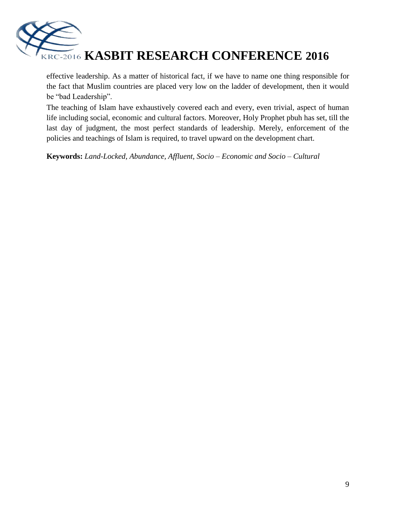

effective leadership. As a matter of historical fact, if we have to name one thing responsible for the fact that Muslim countries are placed very low on the ladder of development, then it would be "bad Leadership".

The teaching of Islam have exhaustively covered each and every, even trivial, aspect of human life including social, economic and cultural factors. Moreover, Holy Prophet pbuh has set, till the last day of judgment, the most perfect standards of leadership. Merely, enforcement of the policies and teachings of Islam is required, to travel upward on the development chart.

**Keywords:** *Land-Locked, Abundance, Affluent, Socio – Economic and Socio – Cultural*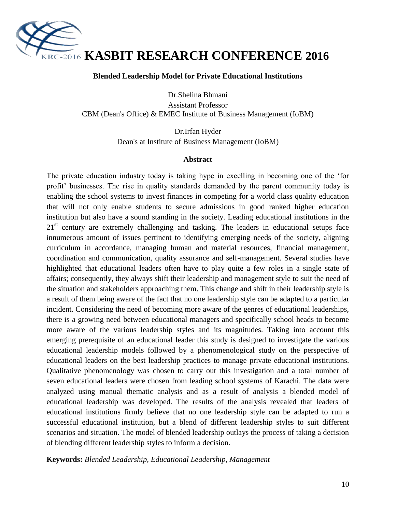

#### **Blended Leadership Model for Private Educational Institutions**

Dr.Shelina Bhmani Assistant Professor CBM (Dean's Office) & EMEC Institute of Business Management (IoBM)

> Dr.Irfan Hyder Dean's at Institute of Business Management (IoBM)

#### **Abstract**

The private education industry today is taking hype in excelling in becoming one of the "for profit" businesses. The rise in quality standards demanded by the parent community today is enabling the school systems to invest finances in competing for a world class quality education that will not only enable students to secure admissions in good ranked higher education institution but also have a sound standing in the society. Leading educational institutions in the 21<sup>st</sup> century are extremely challenging and tasking. The leaders in educational setups face innumerous amount of issues pertinent to identifying emerging needs of the society, aligning curriculum in accordance, managing human and material resources, financial management, coordination and communication, quality assurance and self-management. Several studies have highlighted that educational leaders often have to play quite a few roles in a single state of affairs; consequently, they always shift their leadership and management style to suit the need of the situation and stakeholders approaching them. This change and shift in their leadership style is a result of them being aware of the fact that no one leadership style can be adapted to a particular incident. Considering the need of becoming more aware of the genres of educational leaderships, there is a growing need between educational managers and specifically school heads to become more aware of the various leadership styles and its magnitudes. Taking into account this emerging prerequisite of an educational leader this study is designed to investigate the various educational leadership models followed by a phenomenological study on the perspective of educational leaders on the best leadership practices to manage private educational institutions. Qualitative phenomenology was chosen to carry out this investigation and a total number of seven educational leaders were chosen from leading school systems of Karachi. The data were analyzed using manual thematic analysis and as a result of analysis a blended model of educational leadership was developed. The results of the analysis revealed that leaders of educational institutions firmly believe that no one leadership style can be adapted to run a successful educational institution, but a blend of different leadership styles to suit different scenarios and situation. The model of blended leadership outlays the process of taking a decision of blending different leadership styles to inform a decision.

**Keywords:** *Blended Leadership, Educational Leadership, Management*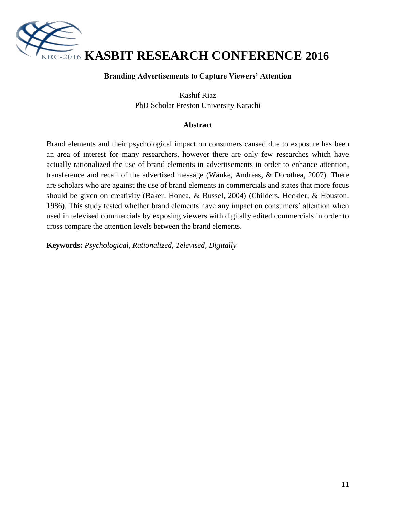

#### **Branding Advertisements to Capture Viewers' Attention**

Kashif Riaz PhD Scholar Preston University Karachi

#### **Abstract**

Brand elements and their psychological impact on consumers caused due to exposure has been an area of interest for many researchers, however there are only few researches which have actually rationalized the use of brand elements in advertisements in order to enhance attention, transference and recall of the advertised message (Wänke, Andreas, & Dorothea, 2007). There are scholars who are against the use of brand elements in commercials and states that more focus should be given on creativity (Baker, Honea, & Russel, 2004) (Childers, Heckler, & Houston, 1986). This study tested whether brand elements have any impact on consumers" attention when used in televised commercials by exposing viewers with digitally edited commercials in order to cross compare the attention levels between the brand elements.

**Keywords:** *Psychological, Rationalized, Televised, Digitally*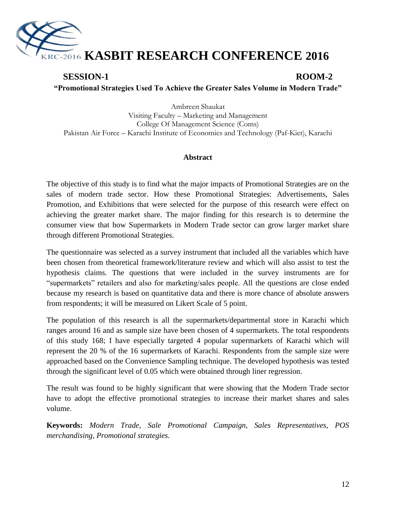

### **SESSION-1 ROOM-2 "Promotional Strategies Used To Achieve the Greater Sales Volume in Modern Trade"**

Ambreen Shaukat Visiting Faculty – Marketing and Management College Of Management Science (Coms) Pakistan Air Force – Karachi Institute of Economics and Technology (Paf-Kiet), Karachi

#### **Abstract**

The objective of this study is to find what the major impacts of Promotional Strategies are on the sales of modern trade sector. How these Promotional Strategies: Advertisements, Sales Promotion, and Exhibitions that were selected for the purpose of this research were effect on achieving the greater market share. The major finding for this research is to determine the consumer view that how Supermarkets in Modern Trade sector can grow larger market share through different Promotional Strategies.

The questionnaire was selected as a survey instrument that included all the variables which have been chosen from theoretical framework/literature review and which will also assist to test the hypothesis claims. The questions that were included in the survey instruments are for "supermarkets" retailers and also for marketing/sales people. All the questions are close ended because my research is based on quantitative data and there is more chance of absolute answers from respondents; it will be measured on Likert Scale of 5 point.

The population of this research is all the supermarkets/departmental store in Karachi which ranges around 16 and as sample size have been chosen of 4 supermarkets. The total respondents of this study 168; I have especially targeted 4 popular supermarkets of Karachi which will represent the 20 % of the 16 supermarkets of Karachi. Respondents from the sample size were approached based on the Convenience Sampling technique. The developed hypothesis was tested through the significant level of 0.05 which were obtained through liner regression.

The result was found to be highly significant that were showing that the Modern Trade sector have to adopt the effective promotional strategies to increase their market shares and sales volume.

**Keywords:** *Modern Trade, Sale Promotional Campaign, Sales Representatives, POS merchandising, Promotional strategies.*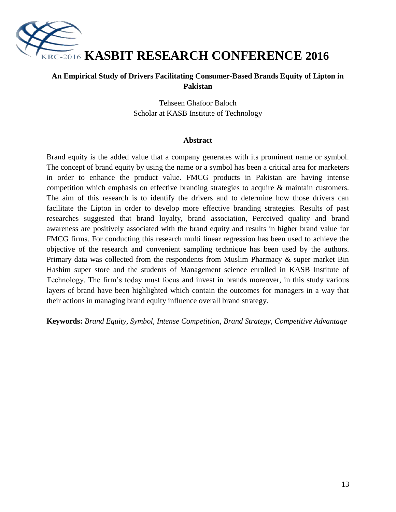

#### **An Empirical Study of Drivers Facilitating Consumer-Based Brands Equity of Lipton in Pakistan**

Tehseen Ghafoor Baloch Scholar at KASB Institute of Technology

#### **Abstract**

Brand equity is the added value that a company generates with its prominent name or symbol. The concept of brand equity by using the name or a symbol has been a critical area for marketers in order to enhance the product value. FMCG products in Pakistan are having intense competition which emphasis on effective branding strategies to acquire & maintain customers. The aim of this research is to identify the drivers and to determine how those drivers can facilitate the Lipton in order to develop more effective branding strategies. Results of past researches suggested that brand loyalty, brand association, Perceived quality and brand awareness are positively associated with the brand equity and results in higher brand value for FMCG firms. For conducting this research multi linear regression has been used to achieve the objective of the research and convenient sampling technique has been used by the authors. Primary data was collected from the respondents from Muslim Pharmacy & super market Bin Hashim super store and the students of Management science enrolled in KASB Institute of Technology. The firm"s today must focus and invest in brands moreover, in this study various layers of brand have been highlighted which contain the outcomes for managers in a way that their actions in managing brand equity influence overall brand strategy.

**Keywords:** *Brand Equity, Symbol, Intense Competition, Brand Strategy, Competitive Advantage*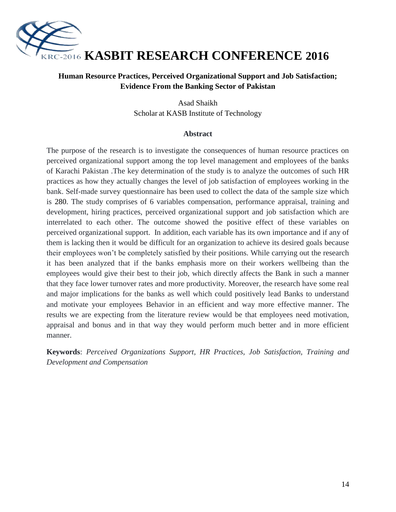

#### **Human Resource Practices, Perceived Organizational Support and Job Satisfaction; Evidence From the Banking Sector of Pakistan**

Asad Shaikh Scholar at KASB Institute of Technology

#### **Abstract**

The purpose of the research is to investigate the consequences of human resource practices on perceived organizational support among the top level management and employees of the banks of Karachi Pakistan .The key determination of the study is to analyze the outcomes of such HR practices as how they actually changes the level of job satisfaction of employees working in the bank. Self-made survey questionnaire has been used to collect the data of the sample size which is 280. The study comprises of 6 variables compensation, performance appraisal, training and development, hiring practices, perceived organizational support and job satisfaction which are interrelated to each other. The outcome showed the positive effect of these variables on perceived organizational support. In addition, each variable has its own importance and if any of them is lacking then it would be difficult for an organization to achieve its desired goals because their employees won"t be completely satisfied by their positions. While carrying out the research it has been analyzed that if the banks emphasis more on their workers wellbeing than the employees would give their best to their job, which directly affects the Bank in such a manner that they face lower turnover rates and more productivity. Moreover, the research have some real and major implications for the banks as well which could positively lead Banks to understand and motivate your employees Behavior in an efficient and way more effective manner. The results we are expecting from the literature review would be that employees need motivation, appraisal and bonus and in that way they would perform much better and in more efficient manner.

**Keywords**: *Perceived Organizations Support, HR Practices, Job Satisfaction, Training and Development and Compensation*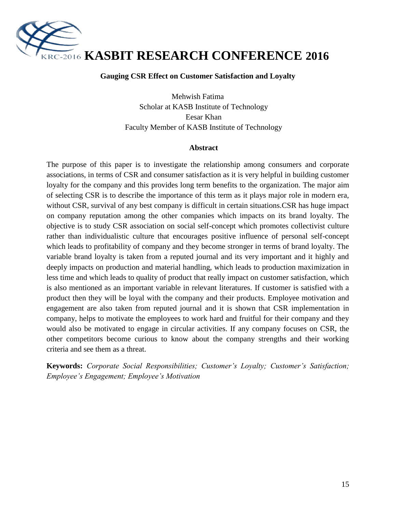

#### **Gauging CSR Effect on Customer Satisfaction and Loyalty**

Mehwish Fatima Scholar at KASB Institute of Technology Eesar Khan Faculty Member of KASB Institute of Technology

#### **Abstract**

The purpose of this paper is to investigate the relationship among consumers and corporate associations, in terms of CSR and consumer satisfaction as it is very helpful in building customer loyalty for the company and this provides long term benefits to the organization. The major aim of selecting CSR is to describe the importance of this term as it plays major role in modern era, without CSR, survival of any best company is difficult in certain situations.CSR has huge impact on company reputation among the other companies which impacts on its brand loyalty. The objective is to study CSR association on social self-concept which promotes collectivist culture rather than individualistic culture that encourages positive influence of personal self-concept which leads to profitability of company and they become stronger in terms of brand loyalty. The variable brand loyalty is taken from a reputed journal and its very important and it highly and deeply impacts on production and material handling, which leads to production maximization in less time and which leads to quality of product that really impact on customer satisfaction, which is also mentioned as an important variable in relevant literatures. If customer is satisfied with a product then they will be loyal with the company and their products. Employee motivation and engagement are also taken from reputed journal and it is shown that CSR implementation in company, helps to motivate the employees to work hard and fruitful for their company and they would also be motivated to engage in circular activities. If any company focuses on CSR, the other competitors become curious to know about the company strengths and their working criteria and see them as a threat.

**Keywords:** *Corporate Social Responsibilities; Customer's Loyalty; Customer's Satisfaction; Employee's Engagement; Employee's Motivation*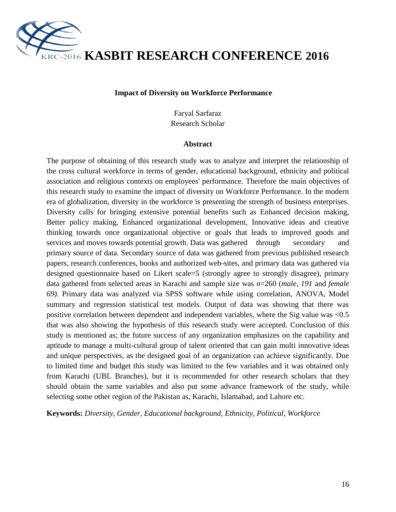

**KASBIT RESEARCH CONFERENCE 2016**

#### **Impact of Diversity on Workforce Performance**

Faryal Sarfaraz Research Scholar

#### **Abstract**

The purpose of obtaining of this research study was to analyze and interpret the relationship of the cross cultural workforce in terms of gender, educational background, ethnicity and political association and religious contexts on employees' performance. Therefore the main objectives of this research study to examine the impact of diversity on Workforce Performance. In the modern era of globalization, diversity in the workforce is presenting the strength of business enterprises. Diversity calls for bringing extensive potential benefits such as Enhanced decision making, Better policy making, Enhanced organizational development, Innovative ideas and creative thinking towards once organizational objective or goals that leads to improved goods and services and moves towards potential growth. Data was gathered through secondary and primary source of data. Secondary source of data was gathered from previous published research papers, research conferences, books and authorized web-sites, and primary data was gathered via designed questionnaire based on Likert scale=5 (strongly agree to strongly disagree), primary data gathered from selected areas in Karachi and sample size was *n*=260 (*male, 191* and *female 69).* Primary data was analyzed via SPSS software while using correlation, ANOVA, Model summary and regression statistical test models. Output of data was showing that there was positive correlation between dependent and independent variables, where the Sig value was <0.5 that was also showing the hypothesis of this research study were accepted. Conclusion of this study is mentioned as; the future success of any organization emphasizes on the capability and aptitude to manage a multi-cultural group of talent oriented that can gain multi innovative ideas and unique perspectives, as the designed goal of an organization can achieve significantly. Due to limited time and budget this study was limited to the few variables and it was obtained only from Karachi (UBL Branches), but it is recommended for other research scholars that they should obtain the same variables and also put some advance framework of the study, while selecting some other region of the Pakistan as, Karachi, Islamabad, and Lahore etc.

**Keywords:** *Diversity, Gender, Educational background, Ethnicity, Political, Workforce*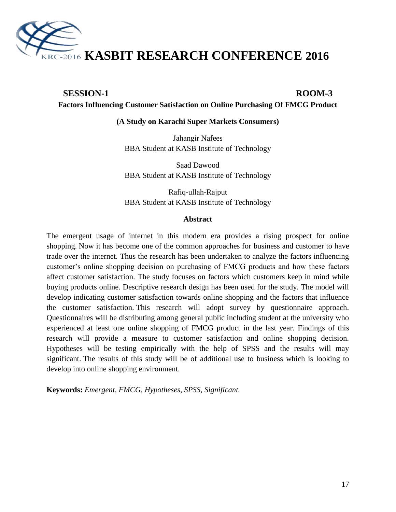

#### **SESSION-1 ROOM-3 Factors Influencing Customer Satisfaction on Online Purchasing Of FMCG Product**

#### **(A Study on Karachi Super Markets Consumers)**

Jahangir Nafees BBA Student at KASB Institute of Technology

Saad Dawood BBA Student at KASB Institute of Technology

Rafiq-ullah-Rajput BBA Student at KASB Institute of Technology

#### **Abstract**

The emergent usage of internet in this modern era provides a rising prospect for online shopping. Now it has become one of the common approaches for business and customer to have trade over the internet. Thus the research has been undertaken to analyze the factors influencing customer's online shopping decision on purchasing of FMCG products and how these factors affect customer satisfaction. The study focuses on factors which customers keep in mind while buying products online. Descriptive research design has been used for the study. The model will develop indicating customer satisfaction towards online shopping and the factors that influence the customer satisfaction. This research will adopt survey by questionnaire approach. Questionnaires will be distributing among general public including student at the university who experienced at least one online shopping of FMCG product in the last year. Findings of this research will provide a measure to customer satisfaction and online shopping decision. Hypotheses will be testing empirically with the help of SPSS and the results will may significant. The results of this study will be of additional use to business which is looking to develop into online shopping environment.

**Keywords:** *Emergent, FMCG, Hypotheses, SPSS, Significant.*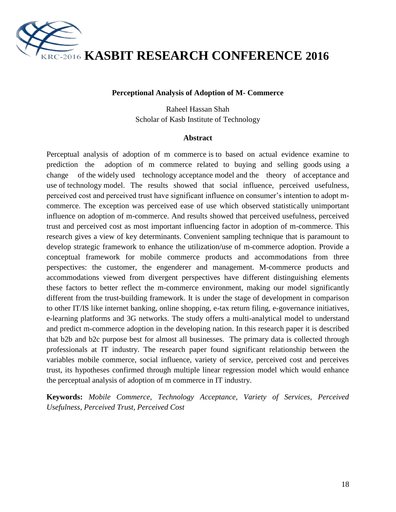

## **KASBIT RESEARCH CONFERENCE 2016**

#### **Perceptional Analysis of Adoption of M- Commerce**

Raheel Hassan Shah Scholar of Kasb Institute of Technology

#### **Abstract**

Perceptual analysis of adoption of m commerce is to based on actual evidence examine to prediction the adoption of m commerce related to buying and selling goods using a change of the widely used technology acceptance model and the theory of acceptance and use of technology model. The results showed that social influence, perceived usefulness, perceived cost and perceived trust have significant influence on consumer"s intention to adopt mcommerce. The exception was perceived ease of use which observed statistically unimportant influence on adoption of m-commerce. And results showed that perceived usefulness, perceived trust and perceived cost as most important influencing factor in adoption of m-commerce. This research gives a view of key determinants. Convenient sampling technique that is paramount to develop strategic framework to enhance the utilization/use of m-commerce adoption. Provide a conceptual framework for mobile commerce products and accommodations from three perspectives: the customer, the engenderer and management. M-commerce products and accommodations viewed from divergent perspectives have different distinguishing elements these factors to better reflect the m-commerce environment, making our model significantly different from the trust-building framework. It is under the stage of development in comparison to other IT/IS like internet banking, online shopping, e-tax return filing, e-governance initiatives, e-learning platforms and 3G networks. The study offers a multi-analytical model to understand and predict m-commerce adoption in the developing nation. In this research paper it is described that b2b and b2c purpose best for almost all businesses. The primary data is collected through professionals at IT industry. The research paper found significant relationship between the variables mobile commerce, social influence, variety of service, perceived cost and perceives trust, its hypotheses confirmed through multiple linear regression model which would enhance the perceptual analysis of adoption of m commerce in IT industry.

**Keywords:** *Mobile Commerce, Technology Acceptance, Variety of Services, Perceived Usefulness, Perceived Trust, Perceived Cost*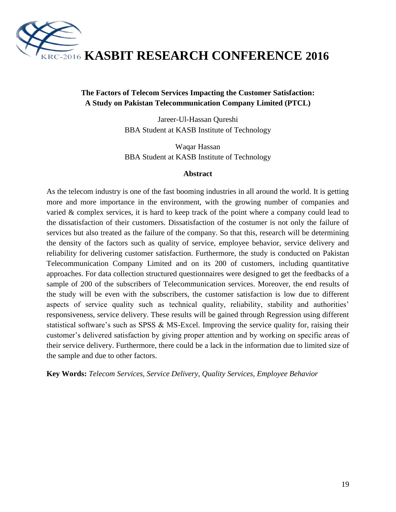

#### **The Factors of Telecom Services Impacting the Customer Satisfaction: A Study on Pakistan Telecommunication Company Limited (PTCL)**

Jareer-Ul-Hassan Qureshi BBA Student at KASB Institute of Technology

Waqar Hassan BBA Student at KASB Institute of Technology

#### **Abstract**

As the telecom industry is one of the fast booming industries in all around the world. It is getting more and more importance in the environment, with the growing number of companies and varied & complex services, it is hard to keep track of the point where a company could lead to the dissatisfaction of their customers. Dissatisfaction of the costumer is not only the failure of services but also treated as the failure of the company. So that this, research will be determining the density of the factors such as quality of service, employee behavior, service delivery and reliability for delivering customer satisfaction. Furthermore, the study is conducted on Pakistan Telecommunication Company Limited and on its 200 of customers, including quantitative approaches. For data collection structured questionnaires were designed to get the feedbacks of a sample of 200 of the subscribers of Telecommunication services. Moreover, the end results of the study will be even with the subscribers, the customer satisfaction is low due to different aspects of service quality such as technical quality, reliability, stability and authorities' responsiveness, service delivery. These results will be gained through Regression using different statistical software's such as SPSS  $\&$  MS-Excel. Improving the service quality for, raising their customer"s delivered satisfaction by giving proper attention and by working on specific areas of their service delivery. Furthermore, there could be a lack in the information due to limited size of the sample and due to other factors.

**Key Words:** *Telecom Services, Service Delivery, Quality Services, Employee Behavior*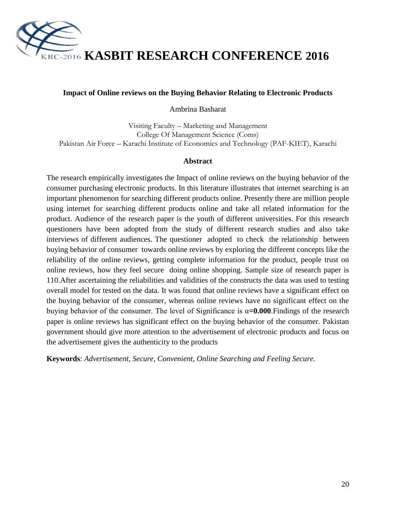

**KASBIT RESEARCH CONFERENCE 2016**

#### **Impact of Online reviews on the Buying Behavior Relating to Electronic Products**

Ambrina Basharat

Visiting Faculty – Marketing and Management College Of Management Science (Coms) Pakistan Air Force – Karachi Institute of Economics and Technology (PAF-KIET), Karachi

#### **Abstract**

The research empirically investigates the Impact of online reviews on the buying behavior of the consumer purchasing electronic products. In this literature illustrates that internet searching is an important phenomenon for searching different products online. Presently there are million people using internet for searching different products online and take all related information for the product. Audience of the research paper is the youth of different universities. For this research questioners have been adopted from the study of different research studies and also take interviews of different audiences. The questioner adopted to check the relationship between buying behavior of consumer towards online reviews by exploring the different concepts like the reliability of the online reviews, getting complete information for the product, people trust on online reviews, how they feel secure doing online shopping. Sample size of research paper is 110.After ascertaining the reliabilities and validities of the constructs the data was used to testing overall model for tested on the data. It was found that online reviews have a significant effect on the buying behavior of the consumer, whereas online reviews have no significant effect on the buying behavior of the consumer. The level of Significance is  $\alpha = 0.000$ . Findings of the research paper is online reviews has significant effect on the buying behavior of the consumer. Pakistan government should give more attention to the advertisement of electronic products and focus on the advertisement gives the authenticity to the products

**Keywords**: *Advertisement, Secure, Convenient, Online Searching and Feeling Secure.*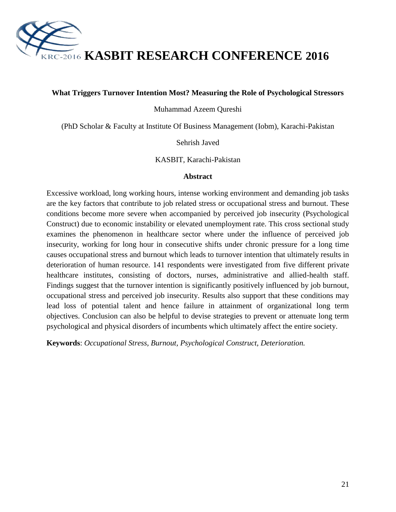

**KASBIT RESEARCH CONFERENCE 2016**

#### **What Triggers Turnover Intention Most? Measuring the Role of Psychological Stressors**

Muhammad Azeem Qureshi

(PhD Scholar & Faculty at Institute Of Business Management (Iobm), Karachi-Pakistan

Sehrish Javed

KASBIT, Karachi-Pakistan

#### **Abstract**

Excessive workload, long working hours, intense working environment and demanding job tasks are the key factors that contribute to job related stress or occupational stress and burnout. These conditions become more severe when accompanied by perceived job insecurity (Psychological Construct) due to economic instability or elevated unemployment rate. This cross sectional study examines the phenomenon in healthcare sector where under the influence of perceived job insecurity, working for long hour in consecutive shifts under chronic pressure for a long time causes occupational stress and burnout which leads to turnover intention that ultimately results in deterioration of human resource. 141 respondents were investigated from five different private healthcare institutes, consisting of doctors, nurses, administrative and allied-health staff. Findings suggest that the turnover intention is significantly positively influenced by job burnout, occupational stress and perceived job insecurity. Results also support that these conditions may lead loss of potential talent and hence failure in attainment of organizational long term objectives. Conclusion can also be helpful to devise strategies to prevent or attenuate long term psychological and physical disorders of incumbents which ultimately affect the entire society.

**Keywords**: *Occupational Stress, Burnout, Psychological Construct, Deterioration.*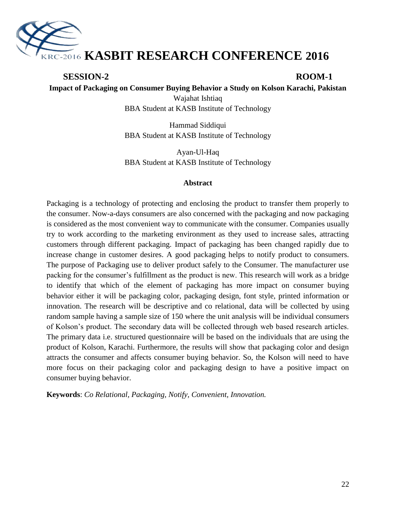

#### **SESSION-2 ROOM-1**

**Impact of Packaging on Consumer Buying Behavior a Study on Kolson Karachi, Pakistan**

Wajahat Ishtiaq BBA Student at KASB Institute of Technology

Hammad Siddiqui BBA Student at KASB Institute of Technology

Ayan-Ul-Haq BBA Student at KASB Institute of Technology

#### **Abstract**

Packaging is a technology of protecting and enclosing the product to transfer them properly to the consumer. Now-a-days consumers are also concerned with the packaging and now packaging is considered as the most convenient way to communicate with the consumer. Companies usually try to work according to the marketing environment as they used to increase sales, attracting customers through different packaging. Impact of packaging has been changed rapidly due to increase change in customer desires. A good packaging helps to notify product to consumers. The purpose of Packaging use to deliver product safely to the Consumer. The manufacturer use packing for the consumer's fulfillment as the product is new. This research will work as a bridge to identify that which of the element of packaging has more impact on consumer buying behavior either it will be packaging color, packaging design, font style, printed information or innovation. The research will be descriptive and co relational, data will be collected by using random sample having a sample size of 150 where the unit analysis will be individual consumers of Kolson"s product. The secondary data will be collected through web based research articles. The primary data i.e. structured questionnaire will be based on the individuals that are using the product of Kolson, Karachi. Furthermore, the results will show that packaging color and design attracts the consumer and affects consumer buying behavior. So, the Kolson will need to have more focus on their packaging color and packaging design to have a positive impact on consumer buying behavior.

**Keywords**: *Co Relational, Packaging, Notify, Convenient, Innovation.*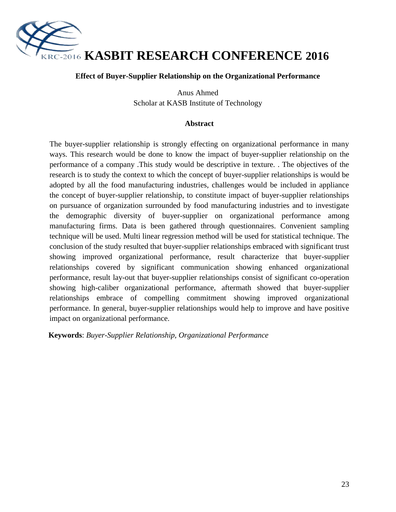

#### **Effect of Buyer-Supplier Relationship on the Organizational Performance**

Anus Ahmed Scholar at KASB Institute of Technology

#### **Abstract**

The buyer-supplier relationship is strongly effecting on organizational performance in many ways. This research would be done to know the impact of buyer-supplier relationship on the performance of a company .This study would be descriptive in texture. . The objectives of the research is to study the context to which the concept of buyer-supplier relationships is would be adopted by all the food manufacturing industries, challenges would be included in appliance the concept of buyer-supplier relationship, to constitute impact of buyer-supplier relationships on pursuance of organization surrounded by food manufacturing industries and to investigate the demographic diversity of buyer-supplier on organizational performance among manufacturing firms. Data is been gathered through questionnaires. Convenient sampling technique will be used. Multi linear regression method will be used for statistical technique. The conclusion of the study resulted that buyer-supplier relationships embraced with significant trust showing improved organizational performance, result characterize that buyer-supplier relationships covered by significant communication showing enhanced organizational performance, result lay-out that buyer-supplier relationships consist of significant co-operation showing high-caliber organizational performance, aftermath showed that buyer-supplier relationships embrace of compelling commitment showing improved organizational performance. In general, buyer-supplier relationships would help to improve and have positive impact on organizational performance.

**Keywords**: *Buyer-Supplier Relationship, Organizational Performance*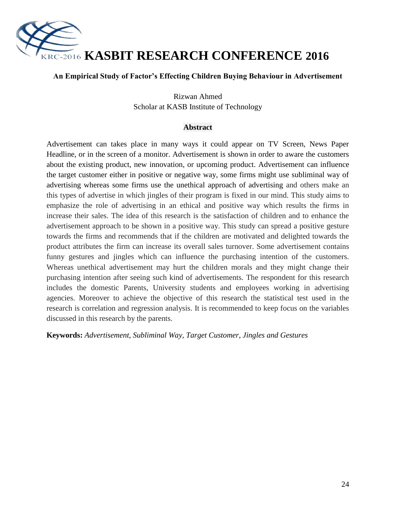

#### **An Empirical Study of Factor's Effecting Children Buying Behaviour in Advertisement**

Rizwan Ahmed Scholar at KASB Institute of Technology

#### **Abstract**

Advertisement can takes place in many ways it could appear on TV Screen, News Paper Headline, or in the screen of a monitor. Advertisement is shown in order to aware the customers about the existing product, new innovation, or upcoming product. Advertisement can influence the target customer either in positive or negative way, some firms might use subliminal way of advertising whereas some firms use the unethical approach of advertising and others make an this types of advertise in which jingles of their program is fixed in our mind. This study aims to emphasize the role of advertising in an ethical and positive way which results the firms in increase their sales. The idea of this research is the satisfaction of children and to enhance the advertisement approach to be shown in a positive way. This study can spread a positive gesture towards the firms and recommends that if the children are motivated and delighted towards the product attributes the firm can increase its overall sales turnover. Some advertisement contains funny gestures and jingles which can influence the purchasing intention of the customers. Whereas unethical advertisement may hurt the children morals and they might change their purchasing intention after seeing such kind of advertisements. The respondent for this research includes the domestic Parents, University students and employees working in advertising agencies. Moreover to achieve the objective of this research the statistical test used in the research is correlation and regression analysis. It is recommended to keep focus on the variables discussed in this research by the parents.

**Keywords:** *Advertisement, Subliminal Way, Target Customer, Jingles and Gestures*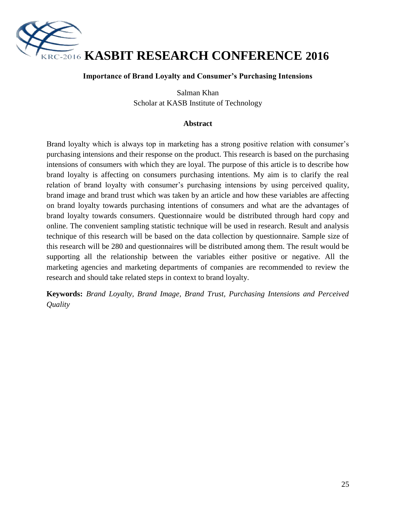

#### **Importance of Brand Loyalty and Consumer's Purchasing Intensions**

Salman Khan Scholar at KASB Institute of Technology

#### **Abstract**

Brand loyalty which is always top in marketing has a strong positive relation with consumer's purchasing intensions and their response on the product. This research is based on the purchasing intensions of consumers with which they are loyal. The purpose of this article is to describe how brand loyalty is affecting on consumers purchasing intentions. My aim is to clarify the real relation of brand loyalty with consumer's purchasing intensions by using perceived quality, brand image and brand trust which was taken by an article and how these variables are affecting on brand loyalty towards purchasing intentions of consumers and what are the advantages of brand loyalty towards consumers. Questionnaire would be distributed through hard copy and online. The convenient sampling statistic technique will be used in research. Result and analysis technique of this research will be based on the data collection by questionnaire. Sample size of this research will be 280 and questionnaires will be distributed among them. The result would be supporting all the relationship between the variables either positive or negative. All the marketing agencies and marketing departments of companies are recommended to review the research and should take related steps in context to brand loyalty.

**Keywords:** *Brand Loyalty, Brand Image, Brand Trust, Purchasing Intensions and Perceived Quality*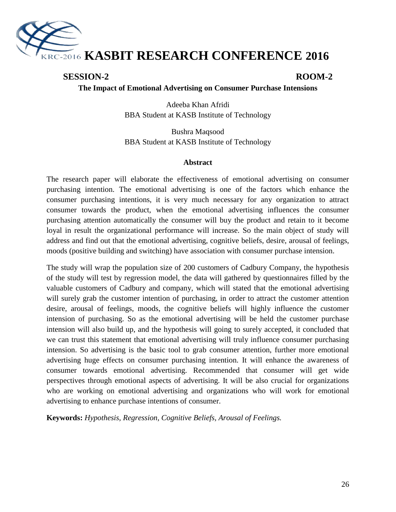

#### **SESSION-2 ROOM-2**

**The Impact of Emotional Advertising on Consumer Purchase Intensions**

Adeeba Khan Afridi BBA Student at KASB Institute of Technology

Bushra Maqsood BBA Student at KASB Institute of Technology

#### **Abstract**

The research paper will elaborate the effectiveness of emotional advertising on consumer purchasing intention. The emotional advertising is one of the factors which enhance the consumer purchasing intentions, it is very much necessary for any organization to attract consumer towards the product, when the emotional advertising influences the consumer purchasing attention automatically the consumer will buy the product and retain to it become loyal in result the organizational performance will increase. So the main object of study will address and find out that the emotional advertising, cognitive beliefs, desire, arousal of feelings, moods (positive building and switching) have association with consumer purchase intension.

The study will wrap the population size of 200 customers of Cadbury Company, the hypothesis of the study will test by regression model, the data will gathered by questionnaires filled by the valuable customers of Cadbury and company, which will stated that the emotional advertising will surely grab the customer intention of purchasing, in order to attract the customer attention desire, arousal of feelings, moods, the cognitive beliefs will highly influence the customer intension of purchasing. So as the emotional advertising will be held the customer purchase intension will also build up, and the hypothesis will going to surely accepted, it concluded that we can trust this statement that emotional advertising will truly influence consumer purchasing intension. So advertising is the basic tool to grab consumer attention, further more emotional advertising huge effects on consumer purchasing intention. It will enhance the awareness of consumer towards emotional advertising. Recommended that consumer will get wide perspectives through emotional aspects of advertising. It will be also crucial for organizations who are working on emotional advertising and organizations who will work for emotional advertising to enhance purchase intentions of consumer.

**Keywords:** *Hypothesis, Regression, Cognitive Beliefs, Arousal of Feelings.*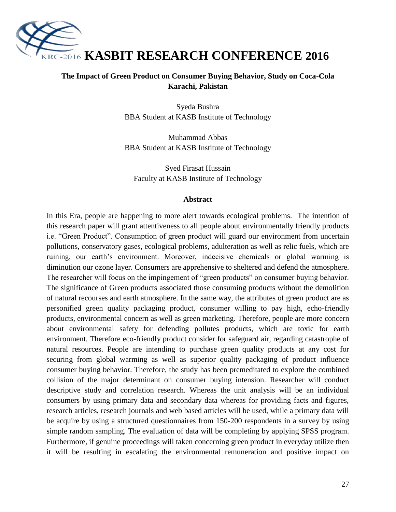

#### **The Impact of Green Product on Consumer Buying Behavior, Study on Coca-Cola Karachi, Pakistan**

Syeda Bushra BBA Student at KASB Institute of Technology

Muhammad Abbas BBA Student at KASB Institute of Technology

Syed Firasat Hussain Faculty at KASB Institute of Technology

#### **Abstract**

In this Era, people are happening to more alert towards ecological problems. The intention of this research paper will grant attentiveness to all people about environmentally friendly products i.e. "Green Product". Consumption of green product will guard our environment from uncertain pollutions, conservatory gases, ecological problems, adulteration as well as relic fuels, which are ruining, our earth"s environment. Moreover, indecisive chemicals or global warming is diminution our ozone layer. Consumers are apprehensive to sheltered and defend the atmosphere. The researcher will focus on the impingement of "green products" on consumer buying behavior. The significance of Green products associated those consuming products without the demolition of natural recourses and earth atmosphere. In the same way, the attributes of green product are as personified green quality packaging product, consumer willing to pay high, echo-friendly products, environmental concern as well as green marketing. Therefore, people are more concern about environmental safety for defending pollutes products, which are toxic for earth environment. Therefore eco-friendly product consider for safeguard air, regarding catastrophe of natural resources. People are intending to purchase green quality products at any cost for securing from global warming as well as superior quality packaging of product influence consumer buying behavior. Therefore, the study has been premeditated to explore the combined collision of the major determinant on consumer buying intension. Researcher will conduct descriptive study and correlation research. Whereas the unit analysis will be an individual consumers by using primary data and secondary data whereas for providing facts and figures, research articles, research journals and web based articles will be used, while a primary data will be acquire by using a structured questionnaires from 150-200 respondents in a survey by using simple random sampling. The evaluation of data will be completing by applying SPSS program. Furthermore, if genuine proceedings will taken concerning green product in everyday utilize then it will be resulting in escalating the environmental remuneration and positive impact on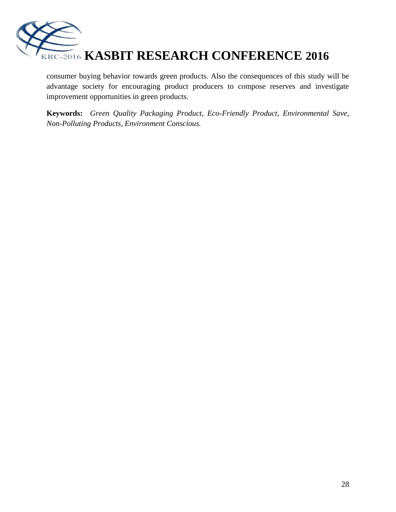

consumer buying behavior towards green products. Also the consequences of this study will be advantage society for encouraging product producers to compose reserves and investigate improvement opportunities in green products.

**Keywords:** *Green Quality Packaging Product, Eco-Friendly Product, Environmental Save, Non-Polluting Products, Environment Conscious.*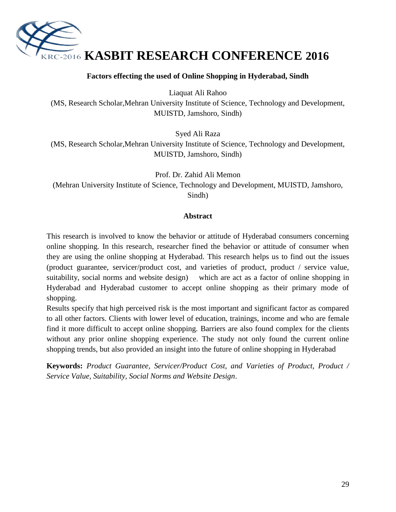

#### **Factors effecting the used of Online Shopping in Hyderabad, Sindh**

Liaquat Ali Rahoo

(MS, Research Scholar,Mehran University Institute of Science, Technology and Development, MUISTD, Jamshoro, Sindh)

Syed Ali Raza

(MS, Research Scholar,Mehran University Institute of Science, Technology and Development, MUISTD, Jamshoro, Sindh)

Prof. Dr. Zahid Ali Memon (Mehran University Institute of Science, Technology and Development, MUISTD, Jamshoro, Sindh)

#### **Abstract**

This research is involved to know the behavior or attitude of Hyderabad consumers concerning online shopping. In this research, researcher fined the behavior or attitude of consumer when they are using the online shopping at Hyderabad. This research helps us to find out the issues (product guarantee, servicer/product cost, and varieties of product, product / service value, suitability, social norms and website design) which are act as a factor of online shopping in Hyderabad and Hyderabad customer to accept online shopping as their primary mode of shopping.

Results specify that high perceived risk is the most important and significant factor as compared to all other factors. Clients with lower level of education, trainings, income and who are female find it more difficult to accept online shopping. Barriers are also found complex for the clients without any prior online shopping experience. The study not only found the current online shopping trends, but also provided an insight into the future of online shopping in Hyderabad

**Keywords:** *Product Guarantee, Servicer/Product Cost, and Varieties of Product, Product / Service Value, Suitability, Social Norms and Website Design*.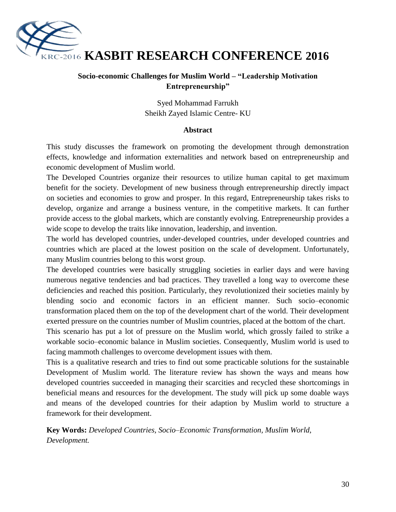

#### **Socio-economic Challenges for Muslim World – "Leadership Motivation Entrepreneurship"**

Syed Mohammad Farrukh Sheikh Zayed Islamic Centre- KU

#### **Abstract**

This study discusses the framework on promoting the development through demonstration effects, knowledge and information externalities and network based on entrepreneurship and economic development of Muslim world.

The Developed Countries organize their resources to utilize human capital to get maximum benefit for the society. Development of new business through entrepreneurship directly impact on societies and economies to grow and prosper. In this regard, Entrepreneurship takes risks to develop, organize and arrange a business venture, in the competitive markets. It can further provide access to the global markets, which are constantly evolving. Entrepreneurship provides a wide scope to develop the traits like innovation, leadership, and invention.

The world has developed countries, under-developed countries, under developed countries and countries which are placed at the lowest position on the scale of development. Unfortunately, many Muslim countries belong to this worst group.

The developed countries were basically struggling societies in earlier days and were having numerous negative tendencies and bad practices. They travelled a long way to overcome these deficiencies and reached this position. Particularly, they revolutionized their societies mainly by blending socio and economic factors in an efficient manner. Such socio–economic transformation placed them on the top of the development chart of the world. Their development exerted pressure on the countries number of Muslim countries, placed at the bottom of the chart.

This scenario has put a lot of pressure on the Muslim world, which grossly failed to strike a workable socio–economic balance in Muslim societies. Consequently, Muslim world is used to facing mammoth challenges to overcome development issues with them.

This is a qualitative research and tries to find out some practicable solutions for the sustainable Development of Muslim world. The literature review has shown the ways and means how developed countries succeeded in managing their scarcities and recycled these shortcomings in beneficial means and resources for the development. The study will pick up some doable ways and means of the developed countries for their adaption by Muslim world to structure a framework for their development.

**Key Words:** *Developed Countries, Socio–Economic Transformation, Muslim World, Development.*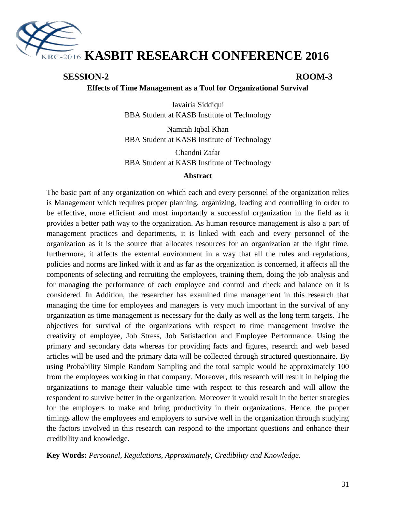

#### **SESSION-2 ROOM-3**

#### **Effects of Time Management as a Tool for Organizational Survival**

Javairia Siddiqui BBA Student at KASB Institute of Technology

Namrah Iqbal Khan BBA Student at KASB Institute of Technology

Chandni Zafar BBA Student at KASB Institute of Technology

#### **Abstract**

The basic part of any organization on which each and every personnel of the organization relies is Management which requires proper planning, organizing, leading and controlling in order to be effective, more efficient and most importantly a successful organization in the field as it provides a better path way to the organization. As human resource management is also a part of management practices and departments, it is linked with each and every personnel of the organization as it is the source that allocates resources for an organization at the right time. furthermore, it affects the external environment in a way that all the rules and regulations, policies and norms are linked with it and as far as the organization is concerned, it affects all the components of selecting and recruiting the employees, training them, doing the job analysis and for managing the performance of each employee and control and check and balance on it is considered. In Addition, the researcher has examined time management in this research that managing the time for employees and managers is very much important in the survival of any organization as time management is necessary for the daily as well as the long term targets. The objectives for survival of the organizations with respect to time management involve the creativity of employee, Job Stress, Job Satisfaction and Employee Performance. Using the primary and secondary data whereas for providing facts and figures, research and web based articles will be used and the primary data will be collected through structured questionnaire. By using Probability Simple Random Sampling and the total sample would be approximately 100 from the employees working in that company. Moreover, this research will result in helping the organizations to manage their valuable time with respect to this research and will allow the respondent to survive better in the organization. Moreover it would result in the better strategies for the employers to make and bring productivity in their organizations. Hence, the proper timings allow the employees and employers to survive well in the organization through studying the factors involved in this research can respond to the important questions and enhance their credibility and knowledge.

**Key Words:** *Personnel, Regulations, Approximately, Credibility and Knowledge.*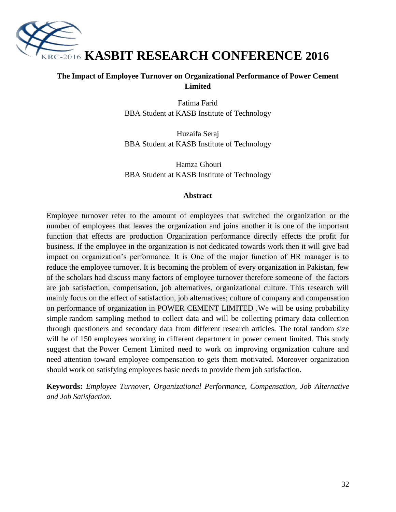

#### **The Impact of Employee Turnover on Organizational Performance of Power Cement Limited**

Fatima Farid BBA Student at KASB Institute of Technology

Huzaifa Seraj BBA Student at KASB Institute of Technology

Hamza Ghouri BBA Student at KASB Institute of Technology

#### **Abstract**

Employee turnover refer to the amount of employees that switched the organization or the number of employees that leaves the organization and joins another it is one of the important function that effects are production Organization performance directly effects the profit for business. If the employee in the organization is not dedicated towards work then it will give bad impact on organization"s performance. It is One of the major function of HR manager is to reduce the employee turnover. It is becoming the problem of every organization in Pakistan, few of the scholars had discuss many factors of employee turnover therefore someone of the factors are job satisfaction, compensation, job alternatives, organizational culture. This research will mainly focus on the effect of satisfaction, job alternatives; culture of company and compensation on performance of organization in POWER CEMENT LIMITED .We will be using probability simple random sampling method to collect data and will be collecting primary data collection through questioners and secondary data from different research articles. The total random size will be of 150 employees working in different department in power cement limited. This study suggest that the Power Cement Limited need to work on improving organization culture and need attention toward employee compensation to gets them motivated. Moreover organization should work on satisfying employees basic needs to provide them job satisfaction.

**Keywords:** *Employee Turnover, Organizational Performance, Compensation, Job Alternative and Job Satisfaction.*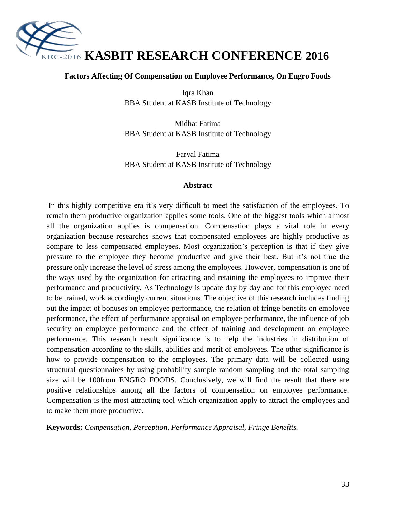

#### **Factors Affecting Of Compensation on Employee Performance, On Engro Foods**

Iqra Khan BBA Student at KASB Institute of Technology

Midhat Fatima BBA Student at KASB Institute of Technology

Faryal Fatima BBA Student at KASB Institute of Technology

#### **Abstract**

In this highly competitive era it's very difficult to meet the satisfaction of the employees. To remain them productive organization applies some tools. One of the biggest tools which almost all the organization applies is compensation. Compensation plays a vital role in every organization because researches shows that compensated employees are highly productive as compare to less compensated employees. Most organization"s perception is that if they give pressure to the employee they become productive and give their best. But it"s not true the pressure only increase the level of stress among the employees. However, compensation is one of the ways used by the organization for attracting and retaining the employees to improve their performance and productivity. As Technology is update day by day and for this employee need to be trained, work accordingly current situations. The objective of this research includes finding out the impact of bonuses on employee performance, the relation of fringe benefits on employee performance, the effect of performance appraisal on employee performance, the influence of job security on employee performance and the effect of training and development on employee performance. This research result significance is to help the industries in distribution of compensation according to the skills, abilities and merit of employees. The other significance is how to provide compensation to the employees. The primary data will be collected using structural questionnaires by using probability sample random sampling and the total sampling size will be 100from ENGRO FOODS. Conclusively, we will find the result that there are positive relationships among all the factors of compensation on employee performance. Compensation is the most attracting tool which organization apply to attract the employees and to make them more productive.

**Keywords:** *Compensation, Perception, Performance Appraisal, Fringe Benefits.*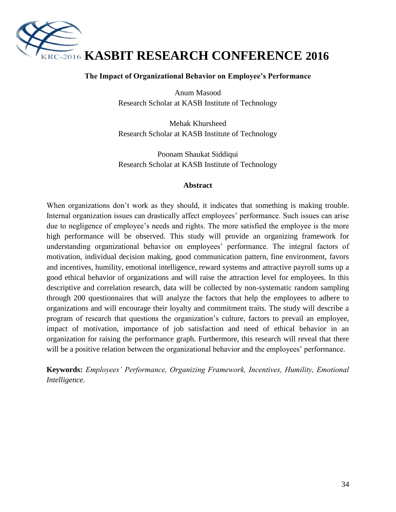

#### **The Impact of Organizational Behavior on Employee's Performance**

Anum Masood Research Scholar at KASB Institute of Technology

Mehak Khursheed Research Scholar at KASB Institute of Technology

Poonam Shaukat Siddiqui Research Scholar at KASB Institute of Technology

#### **Abstract**

When organizations don't work as they should, it indicates that something is making trouble. Internal organization issues can drastically affect employees' performance. Such issues can arise due to negligence of employee's needs and rights. The more satisfied the employee is the more high performance will be observed. This study will provide an organizing framework for understanding organizational behavior on employees' performance. The integral factors of motivation, individual decision making, good communication pattern, fine environment, favors and incentives, humility, emotional intelligence, reward systems and attractive payroll sums up a good ethical behavior of organizations and will raise the attraction level for employees. In this descriptive and correlation research, data will be collected by non-systematic random sampling through 200 questionnaires that will analyze the factors that help the employees to adhere to organizations and will encourage their loyalty and commitment traits. The study will describe a program of research that questions the organization"s culture, factors to prevail an employee, impact of motivation, importance of job satisfaction and need of ethical behavior in an organization for raising the performance graph. Furthermore, this research will reveal that there will be a positive relation between the organizational behavior and the employees' performance.

**Keywords:** *Employees' Performance, Organizing Framework, Incentives, Humility, Emotional Intelligence.*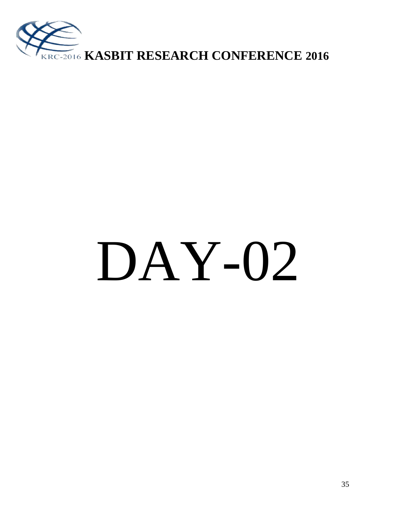

# DAY-02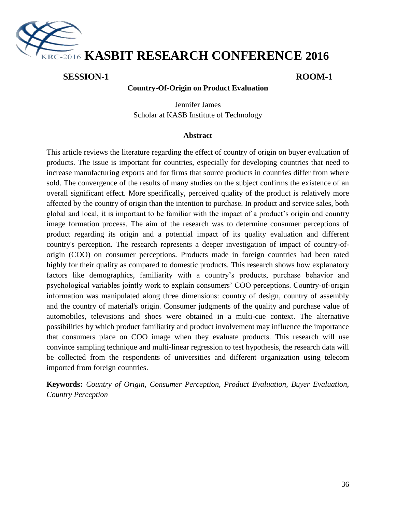

#### **SESSION-1 ROOM-1**

#### **Country-Of-Origin on Product Evaluation**

Jennifer James Scholar at KASB Institute of Technology

#### **Abstract**

This article reviews the literature regarding the effect of country of origin on buyer evaluation of products. The issue is important for countries, especially for developing countries that need to increase manufacturing exports and for firms that source products in countries differ from where sold. The convergence of the results of many studies on the subject confirms the existence of an overall significant effect. More specifically, perceived quality of the product is relatively more affected by the country of origin than the intention to purchase. In product and service sales, both global and local, it is important to be familiar with the impact of a product"s origin and country image formation process. The aim of the research was to determine consumer perceptions of product regarding its origin and a potential impact of its quality evaluation and different country's perception. The research represents a deeper investigation of impact of country-oforigin (COO) on consumer perceptions. Products made in foreign countries had been rated highly for their quality as compared to domestic products. This research shows how explanatory factors like demographics, familiarity with a country"s products, purchase behavior and psychological variables jointly work to explain consumers" COO perceptions. Country-of-origin information was manipulated along three dimensions: country of design, country of assembly and the country of material's origin. Consumer judgments of the quality and purchase value of automobiles, televisions and shoes were obtained in a multi-cue context. The alternative possibilities by which product familiarity and product involvement may influence the importance that consumers place on COO image when they evaluate products. This research will use convince sampling technique and multi-linear regression to test hypothesis, the research data will be collected from the respondents of universities and different organization using telecom imported from foreign countries.

**Keywords:** *Country of Origin, Consumer Perception, Product Evaluation, Buyer Evaluation, Country Perception*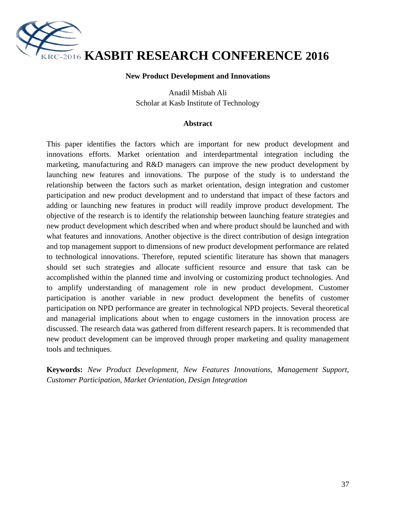

#### **New Product Development and Innovations**

Anadil Misbah Ali Scholar at Kasb Institute of Technology

#### **Abstract**

This paper identifies the factors which are important for new product development and innovations efforts. Market orientation and interdepartmental integration including the marketing, manufacturing and R&D managers can improve the new product development by launching new features and innovations. The purpose of the study is to understand the relationship between the factors such as market orientation, design integration and customer participation and new product development and to understand that impact of these factors and adding or launching new features in product will readily improve product development. The objective of the research is to identify the relationship between launching feature strategies and new product development which described when and where product should be launched and with what features and innovations. Another objective is the direct contribution of design integration and top management support to dimensions of new product development performance are related to technological innovations. Therefore, reputed scientific literature has shown that managers should set such strategies and allocate sufficient resource and ensure that task can be accomplished within the planned time and involving or customizing product technologies. And to amplify understanding of management role in new product development. Customer participation is another variable in new product development the benefits of customer participation on NPD performance are greater in technological NPD projects. Several theoretical and managerial implications about when to engage customers in the innovation process are discussed. The research data was gathered from different research papers. It is recommended that new product development can be improved through proper marketing and quality management tools and techniques.

**Keywords:** *New Product Development, New Features Innovations, Management Support, Customer Participation, Market Orientation, Design Integration*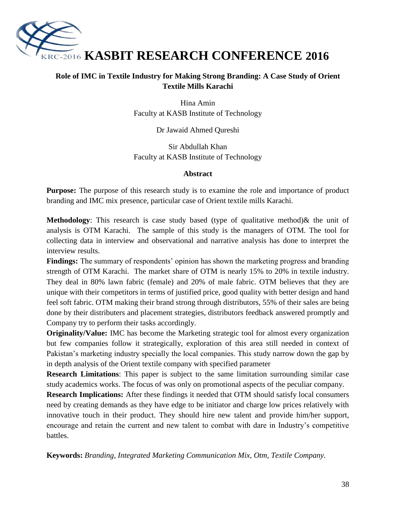

# **Role of IMC in Textile Industry for Making Strong Branding: A Case Study of Orient Textile Mills Karachi**

Hina Amin Faculty at KASB Institute of Technology

Dr Jawaid Ahmed Qureshi

Sir Abdullah Khan Faculty at KASB Institute of Technology

### **Abstract**

**Purpose:** The purpose of this research study is to examine the role and importance of product branding and IMC mix presence, particular case of Orient textile mills Karachi.

**Methodology**: This research is case study based (type of qualitative method) & the unit of analysis is OTM Karachi. The sample of this study is the managers of OTM. The tool for collecting data in interview and observational and narrative analysis has done to interpret the interview results.

**Findings:** The summary of respondents' opinion has shown the marketing progress and branding strength of OTM Karachi. The market share of OTM is nearly 15% to 20% in textile industry. They deal in 80% lawn fabric (female) and 20% of male fabric. OTM believes that they are unique with their competitors in terms of justified price, good quality with better design and hand feel soft fabric. OTM making their brand strong through distributors, 55% of their sales are being done by their distributers and placement strategies, distributors feedback answered promptly and Company try to perform their tasks accordingly.

**Originality/Value:** IMC has become the Marketing strategic tool for almost every organization but few companies follow it strategically, exploration of this area still needed in context of Pakistan's marketing industry specially the local companies. This study narrow down the gap by in depth analysis of the Orient textile company with specified parameter

**Research Limitations**: This paper is subject to the same limitation surrounding similar case study academics works. The focus of was only on promotional aspects of the peculiar company.

**Research Implications:** After these findings it needed that OTM should satisfy local consumers need by creating demands as they have edge to be initiator and charge low prices relatively with innovative touch in their product. They should hire new talent and provide him/her support, encourage and retain the current and new talent to combat with dare in Industry"s competitive battles.

**Keywords:** *Branding, Integrated Marketing Communication Mix, Otm, Textile Company.*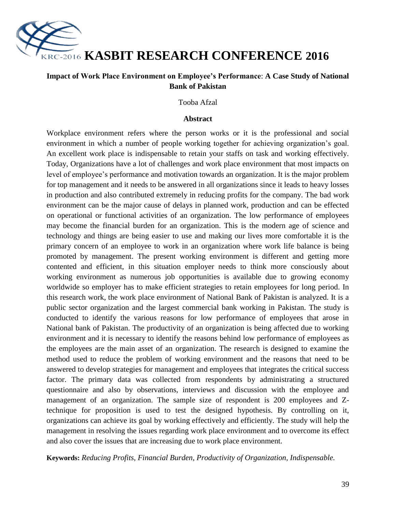

# **KRC-2016 KASBIT RESEARCH CONFERENCE 2016**

# **Impact of Work Place Environment on Employee's Performance**: **A Case Study of National Bank of Pakistan**

#### Tooba Afzal

#### **Abstract**

Workplace environment refers where the person works or it is the professional and social environment in which a number of people working together for achieving organization"s goal. An excellent work place is indispensable to retain your staffs on task and working effectively. Today, Organizations have a lot of challenges and work place environment that most impacts on level of employee's performance and motivation towards an organization. It is the major problem for top management and it needs to be answered in all organizations since it leads to heavy losses in production and also contributed extremely in reducing profits for the company. The bad work environment can be the major cause of delays in planned work, production and can be effected on operational or functional activities of an organization. The low performance of employees may become the financial burden for an organization. This is the modern age of science and technology and things are being easier to use and making our lives more comfortable it is the primary concern of an employee to work in an organization where work life balance is being promoted by management. The present working environment is different and getting more contented and efficient, in this situation employer needs to think more consciously about working environment as numerous job opportunities is available due to growing economy worldwide so employer has to make efficient strategies to retain employees for long period. In this research work, the work place environment of National Bank of Pakistan is analyzed. It is a public sector organization and the largest commercial bank working in Pakistan. The study is conducted to identify the various reasons for low performance of employees that arose in National bank of Pakistan. The productivity of an organization is being affected due to working environment and it is necessary to identify the reasons behind low performance of employees as the employees are the main asset of an organization. The research is designed to examine the method used to reduce the problem of working environment and the reasons that need to be answered to develop strategies for management and employees that integrates the critical success factor. The primary data was collected from respondents by administrating a structured questionnaire and also by observations, interviews and discussion with the employee and management of an organization. The sample size of respondent is 200 employees and Ztechnique for proposition is used to test the designed hypothesis. By controlling on it, organizations can achieve its goal by working effectively and efficiently. The study will help the management in resolving the issues regarding work place environment and to overcome its effect and also cover the issues that are increasing due to work place environment.

**Keywords:** *Reducing Profits, Financial Burden, Productivity of Organization, Indispensable.*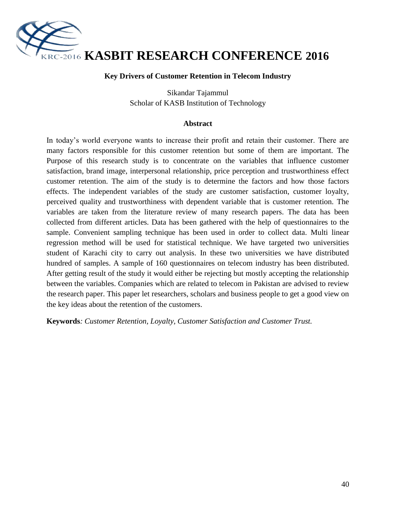

#### **Key Drivers of Customer Retention in Telecom Industry**

Sikandar Tajammul Scholar of KASB Institution of Technology

#### **Abstract**

In today"s world everyone wants to increase their profit and retain their customer. There are many factors responsible for this customer retention but some of them are important. The Purpose of this research study is to concentrate on the variables that influence customer satisfaction, brand image, interpersonal relationship, price perception and trustworthiness effect customer retention. The aim of the study is to determine the factors and how those factors effects. The independent variables of the study are customer satisfaction, customer loyalty, perceived quality and trustworthiness with dependent variable that is customer retention. The variables are taken from the literature review of many research papers. The data has been collected from different articles. Data has been gathered with the help of questionnaires to the sample. Convenient sampling technique has been used in order to collect data. Multi linear regression method will be used for statistical technique. We have targeted two universities student of Karachi city to carry out analysis. In these two universities we have distributed hundred of samples. A sample of 160 questionnaires on telecom industry has been distributed. After getting result of the study it would either be rejecting but mostly accepting the relationship between the variables. Companies which are related to telecom in Pakistan are advised to review the research paper. This paper let researchers, scholars and business people to get a good view on the key ideas about the retention of the customers.

**Keywords***: Customer Retention, Loyalty, Customer Satisfaction and Customer Trust.*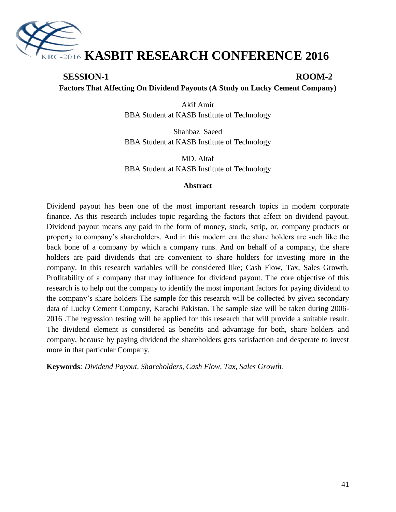

# **SESSION-1 ROOM-2 Factors That Affecting On Dividend Payouts (A Study on Lucky Cement Company)**

Akif Amir BBA Student at KASB Institute of Technology

Shahbaz Saeed BBA Student at KASB Institute of Technology

MD. Altaf BBA Student at KASB Institute of Technology

#### **Abstract**

Dividend payout has been one of the most important research topics in modern corporate finance. As this research includes topic regarding the factors that affect on dividend payout. Dividend payout means any paid in the form of money, stock, scrip, or, company products or property to company"s shareholders. And in this modern era the share holders are such like the back bone of a company by which a company runs. And on behalf of a company, the share holders are paid dividends that are convenient to share holders for investing more in the company. In this research variables will be considered like; Cash Flow, Tax, Sales Growth, Profitability of a company that may influence for dividend payout. The core objective of this research is to help out the company to identify the most important factors for paying dividend to the company"s share holders The sample for this research will be collected by given secondary data of Lucky Cement Company, Karachi Pakistan. The sample size will be taken during 2006- 2016 .The regression testing will be applied for this research that will provide a suitable result. The dividend element is considered as benefits and advantage for both, share holders and company, because by paying dividend the shareholders gets satisfaction and desperate to invest more in that particular Company.

**Keywords***: Dividend Payout, Shareholders, Cash Flow, Tax, Sales Growth.*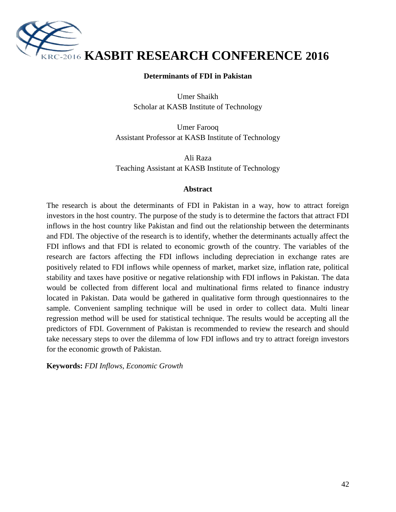

#### **Determinants of FDI in Pakistan**

Umer Shaikh Scholar at KASB Institute of Technology

Umer Farooq Assistant Professor at KASB Institute of Technology

Ali Raza Teaching Assistant at KASB Institute of Technology

#### **Abstract**

The research is about the determinants of FDI in Pakistan in a way, how to attract foreign investors in the host country. The purpose of the study is to determine the factors that attract FDI inflows in the host country like Pakistan and find out the relationship between the determinants and FDI. The objective of the research is to identify, whether the determinants actually affect the FDI inflows and that FDI is related to economic growth of the country. The variables of the research are factors affecting the FDI inflows including depreciation in exchange rates are positively related to FDI inflows while openness of market, market size, inflation rate, political stability and taxes have positive or negative relationship with FDI inflows in Pakistan. The data would be collected from different local and multinational firms related to finance industry located in Pakistan. Data would be gathered in qualitative form through questionnaires to the sample. Convenient sampling technique will be used in order to collect data. Multi linear regression method will be used for statistical technique. The results would be accepting all the predictors of FDI. Government of Pakistan is recommended to review the research and should take necessary steps to over the dilemma of low FDI inflows and try to attract foreign investors for the economic growth of Pakistan.

**Keywords:** *FDI Inflows, Economic Growth*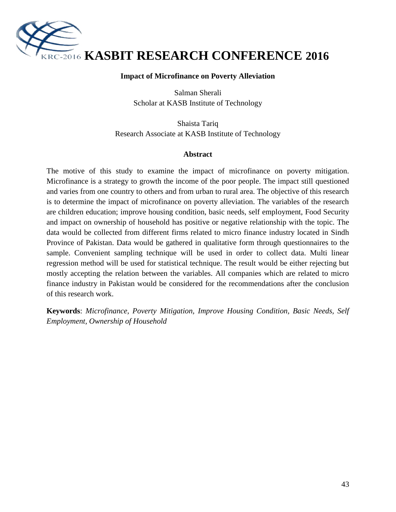

#### **Impact of Microfinance on Poverty Alleviation**

Salman Sherali Scholar at KASB Institute of Technology

Shaista Tariq Research Associate at KASB Institute of Technology

#### **Abstract**

The motive of this study to examine the impact of microfinance on poverty mitigation. Microfinance is a strategy to growth the income of the poor people. The impact still questioned and varies from one country to others and from urban to rural area. The objective of this research is to determine the impact of microfinance on poverty alleviation. The variables of the research are children education; improve housing condition, basic needs, self employment, Food Security and impact on ownership of household has positive or negative relationship with the topic. The data would be collected from different firms related to micro finance industry located in Sindh Province of Pakistan. Data would be gathered in qualitative form through questionnaires to the sample. Convenient sampling technique will be used in order to collect data. Multi linear regression method will be used for statistical technique. The result would be either rejecting but mostly accepting the relation between the variables. All companies which are related to micro finance industry in Pakistan would be considered for the recommendations after the conclusion of this research work.

**Keywords**: *Microfinance, Poverty Mitigation, Improve Housing Condition, Basic Needs, Self Employment, Ownership of Household*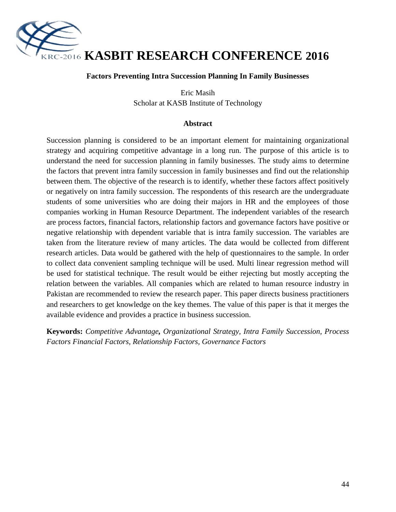

#### **Factors Preventing Intra Succession Planning In Family Businesses**

Eric Masih Scholar at KASB Institute of Technology

#### **Abstract**

Succession planning is considered to be an important element for maintaining organizational strategy and acquiring competitive advantage in a long run. The purpose of this article is to understand the need for succession planning in family businesses. The study aims to determine the factors that prevent intra family succession in family businesses and find out the relationship between them. The objective of the research is to identify, whether these factors affect positively or negatively on intra family succession. The respondents of this research are the undergraduate students of some universities who are doing their majors in HR and the employees of those companies working in Human Resource Department. The independent variables of the research are process factors, financial factors, relationship factors and governance factors have positive or negative relationship with dependent variable that is intra family succession. The variables are taken from the literature review of many articles. The data would be collected from different research articles. Data would be gathered with the help of questionnaires to the sample. In order to collect data convenient sampling technique will be used. Multi linear regression method will be used for statistical technique. The result would be either rejecting but mostly accepting the relation between the variables. All companies which are related to human resource industry in Pakistan are recommended to review the research paper. This paper directs business practitioners and researchers to get knowledge on the key themes. The value of this paper is that it merges the available evidence and provides a practice in business succession.

**Keywords:** *Competitive Advantage, Organizational Strategy, Intra Family Succession, Process Factors Financial Factors, Relationship Factors, Governance Factors*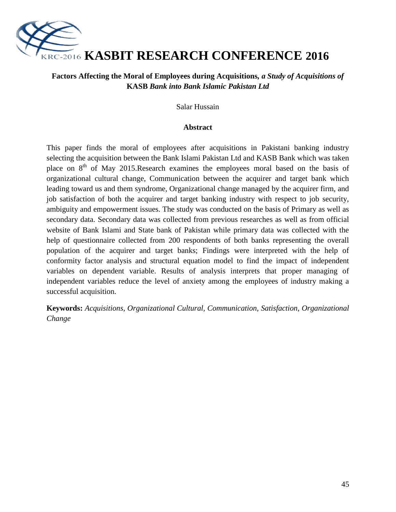

# **Factors Affecting the Moral of Employees during Acquisitions***, a Study of Acquisitions of*  **KASB** *Bank into Bank Islamic Pakistan Ltd*

Salar Hussain

#### **Abstract**

This paper finds the moral of employees after acquisitions in Pakistani banking industry selecting the acquisition between the Bank Islami Pakistan Ltd and KASB Bank which was taken place on  $8<sup>th</sup>$  of May 2015.Research examines the employees moral based on the basis of organizational cultural change, Communication between the acquirer and target bank which leading toward us and them syndrome, Organizational change managed by the acquirer firm, and job satisfaction of both the acquirer and target banking industry with respect to job security, ambiguity and empowerment issues. The study was conducted on the basis of Primary as well as secondary data. Secondary data was collected from previous researches as well as from official website of Bank Islami and State bank of Pakistan while primary data was collected with the help of questionnaire collected from 200 respondents of both banks representing the overall population of the acquirer and target banks; Findings were interpreted with the help of conformity factor analysis and structural equation model to find the impact of independent variables on dependent variable. Results of analysis interprets that proper managing of independent variables reduce the level of anxiety among the employees of industry making a successful acquisition.

**Keywords:** *Acquisitions, Organizational Cultural, Communication, Satisfaction, Organizational Change*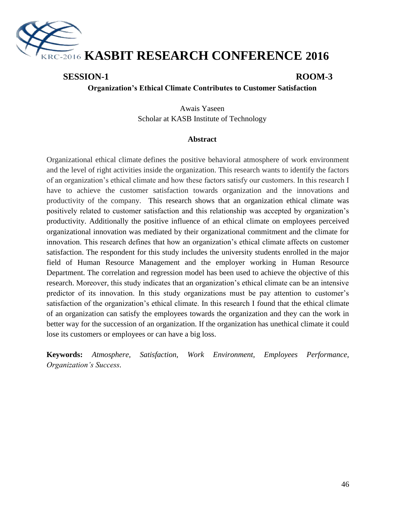

# **SESSION-1 ROOM-3**

#### **Organization's Ethical Climate Contributes to Customer Satisfaction**

Awais Yaseen Scholar at KASB Institute of Technology

#### **Abstract**

Organizational ethical climate defines the positive behavioral atmosphere of work environment and the level of right activities inside the organization. This research wants to identify the factors of an organization"s ethical climate and how these factors satisfy our customers. In this research I have to achieve the customer satisfaction towards organization and the innovations and productivity of the company. This research shows that an organization ethical climate was positively related to customer satisfaction and this relationship was accepted by organization"s productivity. Additionally the positive influence of an ethical climate on employees perceived organizational innovation was mediated by their organizational commitment and the climate for innovation. This research defines that how an organization's ethical climate affects on customer satisfaction. The respondent for this study includes the university students enrolled in the major field of Human Resource Management and the employer working in Human Resource Department. The correlation and regression model has been used to achieve the objective of this research. Moreover, this study indicates that an organization"s ethical climate can be an intensive predictor of its innovation. In this study organizations must be pay attention to customer"s satisfaction of the organization's ethical climate. In this research I found that the ethical climate of an organization can satisfy the employees towards the organization and they can the work in better way for the succession of an organization. If the organization has unethical climate it could lose its customers or employees or can have a big loss.

**Keywords:** *Atmosphere, Satisfaction, Work Environment, Employees Performance, Organization's Success.*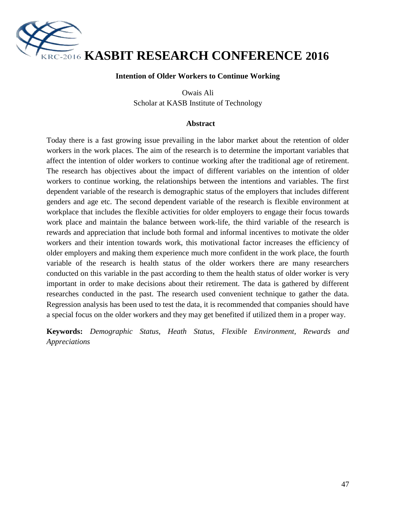

#### **Intention of Older Workers to Continue Working**

Owais Ali Scholar at KASB Institute of Technology

#### **Abstract**

Today there is a fast growing issue prevailing in the labor market about the retention of older workers in the work places. The aim of the research is to determine the important variables that affect the intention of older workers to continue working after the traditional age of retirement. The research has objectives about the impact of different variables on the intention of older workers to continue working, the relationships between the intentions and variables. The first dependent variable of the research is demographic status of the employers that includes different genders and age etc. The second dependent variable of the research is flexible environment at workplace that includes the flexible activities for older employers to engage their focus towards work place and maintain the balance between work-life, the third variable of the research is rewards and appreciation that include both formal and informal incentives to motivate the older workers and their intention towards work, this motivational factor increases the efficiency of older employers and making them experience much more confident in the work place, the fourth variable of the research is health status of the older workers there are many researchers conducted on this variable in the past according to them the health status of older worker is very important in order to make decisions about their retirement. The data is gathered by different researches conducted in the past. The research used convenient technique to gather the data. Regression analysis has been used to test the data, it is recommended that companies should have a special focus on the older workers and they may get benefited if utilized them in a proper way.

**Keywords:** *Demographic Status, Heath Status, Flexible Environment, Rewards and Appreciations*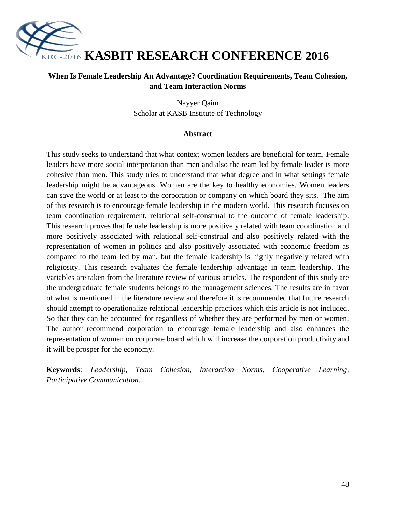

# **When Is Female Leadership An Advantage? Coordination Requirements, Team Cohesion, and Team Interaction Norms**

Nayyer Qaim Scholar at KASB Institute of Technology

#### **Abstract**

This study seeks to understand that what context women leaders are beneficial for team. Female leaders have more social interpretation than men and also the team led by female leader is more cohesive than men. This study tries to understand that what degree and in what settings female leadership might be advantageous. Women are the key to healthy economies. Women leaders can save the world or at least to the corporation or company on which board they sits. The aim of this research is to encourage female leadership in the modern world. This research focuses on team coordination requirement, relational self-construal to the outcome of female leadership. This research proves that female leadership is more positively related with team coordination and more positively associated with relational self-construal and also positively related with the representation of women in politics and also positively associated with economic freedom as compared to the team led by man, but the female leadership is highly negatively related with religiosity. This research evaluates the female leadership advantage in team leadership. The variables are taken from the literature review of various articles. The respondent of this study are the undergraduate female students belongs to the management sciences. The results are in favor of what is mentioned in the literature review and therefore it is recommended that future research should attempt to operationalize relational leadership practices which this article is not included. So that they can be accounted for regardless of whether they are performed by men or women. The author recommend corporation to encourage female leadership and also enhances the representation of women on corporate board which will increase the corporation productivity and it will be prosper for the economy.

**Keywords***: Leadership, Team Cohesion, Interaction Norms, Cooperative Learning, Participative Communication.*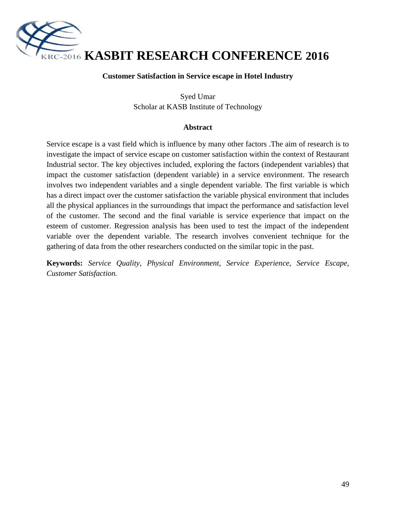

#### **Customer Satisfaction in Service escape in Hotel Industry**

Syed Umar Scholar at KASB Institute of Technology

#### **Abstract**

Service escape is a vast field which is influence by many other factors .The aim of research is to investigate the impact of service escape on customer satisfaction within the context of Restaurant Industrial sector. The key objectives included, exploring the factors (independent variables) that impact the customer satisfaction (dependent variable) in a service environment. The research involves two independent variables and a single dependent variable. The first variable is which has a direct impact over the customer satisfaction the variable physical environment that includes all the physical appliances in the surroundings that impact the performance and satisfaction level of the customer. The second and the final variable is service experience that impact on the esteem of customer. Regression analysis has been used to test the impact of the independent variable over the dependent variable. The research involves convenient technique for the gathering of data from the other researchers conducted on the similar topic in the past.

**Keywords:** *Service Quality, Physical Environment, Service Experience, Service Escape, Customer Satisfaction.*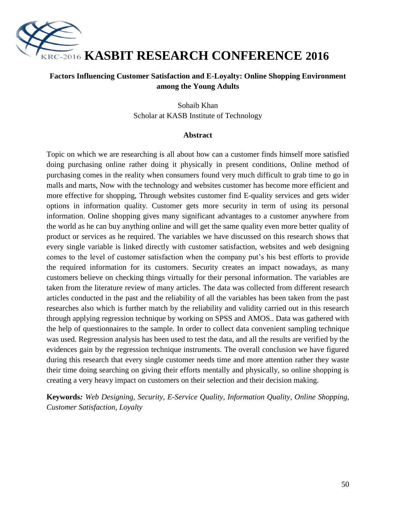

# **Factors Influencing Customer Satisfaction and E-Loyalty: Online Shopping Environment among the Young Adults**

Sohaib Khan Scholar at KASB Institute of Technology

#### **Abstract**

Topic on which we are researching is all about how can a customer finds himself more satisfied doing purchasing online rather doing it physically in present conditions, Online method of purchasing comes in the reality when consumers found very much difficult to grab time to go in malls and marts, Now with the technology and websites customer has become more efficient and more effective for shopping, Through websites customer find E-quality services and gets wider options in information quality. Customer gets more security in term of using its personal information. Online shopping gives many significant advantages to a customer anywhere from the world as he can buy anything online and will get the same quality even more better quality of product or services as he required. The variables we have discussed on this research shows that every single variable is linked directly with customer satisfaction, websites and web designing comes to the level of customer satisfaction when the company put's his best efforts to provide the required information for its customers. Security creates an impact nowadays, as many customers believe on checking things virtually for their personal information. The variables are taken from the literature review of many articles. The data was collected from different research articles conducted in the past and the reliability of all the variables has been taken from the past researches also which is further match by the reliability and validity carried out in this research through applying regression technique by working on SPSS and AMOS.. Data was gathered with the help of questionnaires to the sample. In order to collect data convenient sampling technique was used. Regression analysis has been used to test the data, and all the results are verified by the evidences gain by the regression technique instruments. The overall conclusion we have figured during this research that every single customer needs time and more attention rather they waste their time doing searching on giving their efforts mentally and physically, so online shopping is creating a very heavy impact on customers on their selection and their decision making.

**Keywords***: Web Designing, Security, E-Service Quality, Information Quality, Online Shopping, Customer Satisfaction, Loyalty*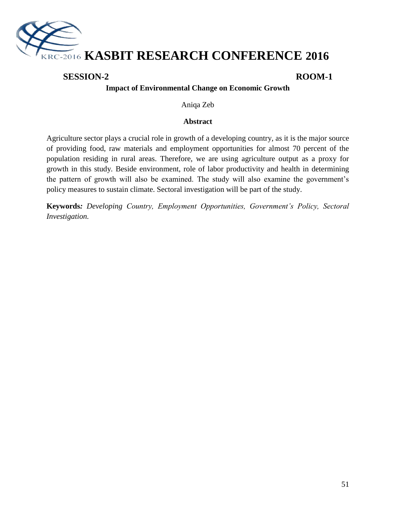

# **SESSION-2 ROOM-1**

# **Impact of Environmental Change on Economic Growth**

Aniqa Zeb

#### **Abstract**

Agriculture sector plays a crucial role in growth of a developing country, as it is the major source of providing food, raw materials and employment opportunities for almost 70 percent of the population residing in rural areas. Therefore, we are using agriculture output as a proxy for growth in this study. Beside environment, role of labor productivity and health in determining the pattern of growth will also be examined. The study will also examine the government"s policy measures to sustain climate. Sectoral investigation will be part of the study.

**Keywords***: Developing Country, Employment Opportunities, Government's Policy, Sectoral Investigation.*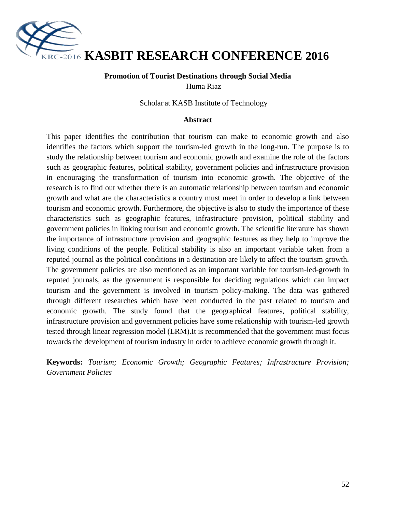

#### **Promotion of Tourist Destinations through Social Media** Huma Riaz

Scholar at KASB Institute of Technology

#### **Abstract**

This paper identifies the contribution that tourism can make to economic growth and also identifies the factors which support the tourism-led growth in the long-run. The purpose is to study the relationship between tourism and economic growth and examine the role of the factors such as geographic features, political stability, government policies and infrastructure provision in encouraging the transformation of tourism into economic growth. The objective of the research is to find out whether there is an automatic relationship between tourism and economic growth and what are the characteristics a country must meet in order to develop a link between tourism and economic growth. Furthermore, the objective is also to study the importance of these characteristics such as geographic features, infrastructure provision, political stability and government policies in linking tourism and economic growth. The scientific literature has shown the importance of infrastructure provision and geographic features as they help to improve the living conditions of the people. Political stability is also an important variable taken from a reputed journal as the political conditions in a destination are likely to affect the tourism growth. The government policies are also mentioned as an important variable for tourism-led-growth in reputed journals, as the government is responsible for deciding regulations which can impact tourism and the government is involved in tourism policy-making. The data was gathered through different researches which have been conducted in the past related to tourism and economic growth. The study found that the geographical features, political stability, infrastructure provision and government policies have some relationship with tourism-led growth tested through linear regression model (LRM).It is recommended that the government must focus towards the development of tourism industry in order to achieve economic growth through it.

**Keywords:** *Tourism; Economic Growth; Geographic Features; Infrastructure Provision; Government Policies*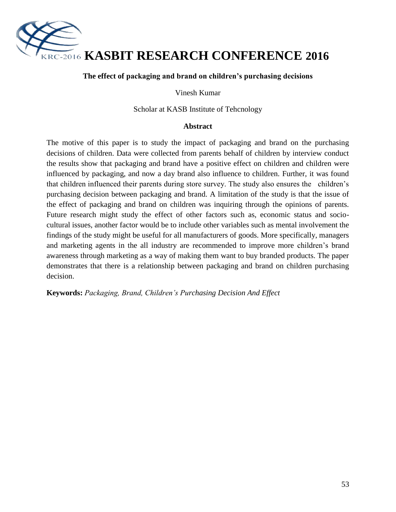

#### **The effect of packaging and brand on children's purchasing decisions**

Vinesh Kumar

Scholar at KASB Institute of Tehcnology

#### **Abstract**

The motive of this paper is to study the impact of packaging and brand on the purchasing decisions of children. Data were collected from parents behalf of children by interview conduct the results show that packaging and brand have a positive effect on children and children were influenced by packaging, and now a day brand also influence to children. Further, it was found that children influenced their parents during store survey. The study also ensures the children"s purchasing decision between packaging and brand. A limitation of the study is that the issue of the effect of packaging and brand on children was inquiring through the opinions of parents. Future research might study the effect of other factors such as, economic status and sociocultural issues, another factor would be to include other variables such as mental involvement the findings of the study might be useful for all manufacturers of goods. More specifically, managers and marketing agents in the all industry are recommended to improve more children"s brand awareness through marketing as a way of making them want to buy branded products. The paper demonstrates that there is a relationship between packaging and brand on children purchasing decision.

**Keywords:** *Packaging, Brand, Children's Purchasing Decision And Effect*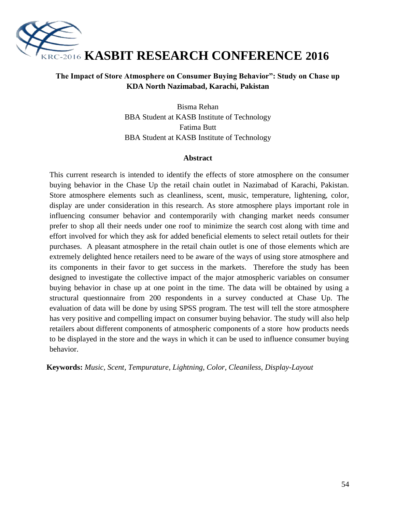

# **The Impact of Store Atmosphere on Consumer Buying Behavior": Study on Chase up KDA North Nazimabad, Karachi, Pakistan**

Bisma Rehan BBA Student at KASB Institute of Technology Fatima Butt BBA Student at KASB Institute of Technology

#### **Abstract**

This current research is intended to identify the effects of store atmosphere on the consumer buying behavior in the Chase Up the retail chain outlet in Nazimabad of Karachi, Pakistan. Store atmosphere elements such as cleanliness, scent, music, temperature, lightening, color, display are under consideration in this research. As store atmosphere plays important role in influencing consumer behavior and contemporarily with changing market needs consumer prefer to shop all their needs under one roof to minimize the search cost along with time and effort involved for which they ask for added beneficial elements to select retail outlets for their purchases. A pleasant atmosphere in the retail chain outlet is one of those elements which are extremely delighted hence retailers need to be aware of the ways of using store atmosphere and its components in their favor to get success in the markets. Therefore the study has been designed to investigate the collective impact of the major atmospheric variables on consumer buying behavior in chase up at one point in the time. The data will be obtained by using a structural questionnaire from 200 respondents in a survey conducted at Chase Up. The evaluation of data will be done by using SPSS program. The test will tell the store atmosphere has very positive and compelling impact on consumer buying behavior. The study will also help retailers about different components of atmospheric components of a store how products needs to be displayed in the store and the ways in which it can be used to influence consumer buying behavior.

**Keywords:** *Music, Scent, Tempurature, Lightning, Color, Cleaniless, Display-Layout*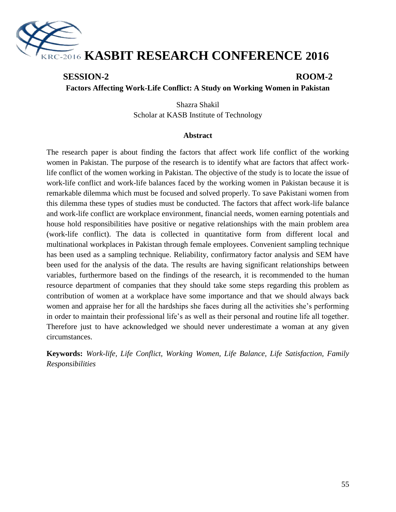

# **SESSION-2 ROOM-2**

**Factors Affecting Work-Life Conflict: A Study on Working Women in Pakistan**

Shazra Shakil Scholar at KASB Institute of Technology

#### **Abstract**

The research paper is about finding the factors that affect work life conflict of the working women in Pakistan. The purpose of the research is to identify what are factors that affect worklife conflict of the women working in Pakistan. The objective of the study is to locate the issue of work-life conflict and work-life balances faced by the working women in Pakistan because it is remarkable dilemma which must be focused and solved properly. To save Pakistani women from this dilemma these types of studies must be conducted. The factors that affect work-life balance and work-life conflict are workplace environment, financial needs, women earning potentials and house hold responsibilities have positive or negative relationships with the main problem area (work-life conflict). The data is collected in quantitative form from different local and multinational workplaces in Pakistan through female employees. Convenient sampling technique has been used as a sampling technique. Reliability, confirmatory factor analysis and SEM have been used for the analysis of the data. The results are having significant relationships between variables, furthermore based on the findings of the research, it is recommended to the human resource department of companies that they should take some steps regarding this problem as contribution of women at a workplace have some importance and that we should always back women and appraise her for all the hardships she faces during all the activities she"s performing in order to maintain their professional life's as well as their personal and routine life all together. Therefore just to have acknowledged we should never underestimate a woman at any given circumstances.

**Keywords:** *Work-life, Life Conflict, Working Women, Life Balance, Life Satisfaction, Family Responsibilities*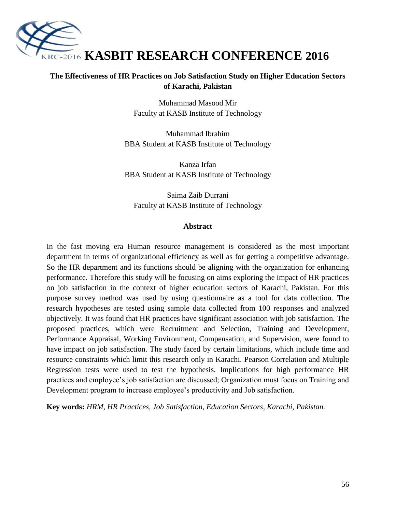

# **The Effectiveness of HR Practices on Job Satisfaction Study on Higher Education Sectors of Karachi, Pakistan**

Muhammad Masood Mir Faculty at KASB Institute of Technology

Muhammad Ibrahim BBA Student at KASB Institute of Technology

Kanza Irfan BBA Student at KASB Institute of Technology

Saima Zaib Durrani Faculty at KASB Institute of Technology

#### **Abstract**

In the fast moving era Human resource management is considered as the most important department in terms of organizational efficiency as well as for getting a competitive advantage. So the HR department and its functions should be aligning with the organization for enhancing performance. Therefore this study will be focusing on aims exploring the impact of HR practices on job satisfaction in the context of higher education sectors of Karachi, Pakistan. For this purpose survey method was used by using questionnaire as a tool for data collection. The research hypotheses are tested using sample data collected from 100 responses and analyzed objectively. It was found that HR practices have significant association with job satisfaction. The proposed practices, which were Recruitment and Selection, Training and Development, Performance Appraisal, Working Environment, Compensation, and Supervision, were found to have impact on job satisfaction. The study faced by certain limitations, which include time and resource constraints which limit this research only in Karachi. Pearson Correlation and Multiple Regression tests were used to test the hypothesis. Implications for high performance HR practices and employee"s job satisfaction are discussed; Organization must focus on Training and Development program to increase employee"s productivity and Job satisfaction.

**Key words:** *HRM, HR Practices, Job Satisfaction, Education Sectors, Karachi, Pakistan.*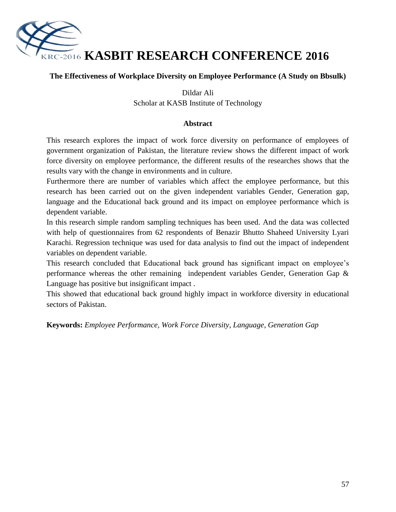

# **The Effectiveness of Workplace Diversity on Employee Performance (A Study on Bbsulk)**

#### Dildar Ali

Scholar at KASB Institute of Technology

#### **Abstract**

This research explores the impact of work force diversity on performance of employees of government organization of Pakistan, the literature review shows the different impact of work force diversity on employee performance, the different results of the researches shows that the results vary with the change in environments and in culture.

Furthermore there are number of variables which affect the employee performance, but this research has been carried out on the given independent variables Gender, Generation gap, language and the Educational back ground and its impact on employee performance which is dependent variable.

In this research simple random sampling techniques has been used. And the data was collected with help of questionnaires from 62 respondents of Benazir Bhutto Shaheed University Lyari Karachi. Regression technique was used for data analysis to find out the impact of independent variables on dependent variable.

This research concluded that Educational back ground has significant impact on employee"s performance whereas the other remaining independent variables Gender, Generation Gap & Language has positive but insignificant impact .

This showed that educational back ground highly impact in workforce diversity in educational sectors of Pakistan.

**Keywords:** *Employee Performance, Work Force Diversity, Language, Generation Gap*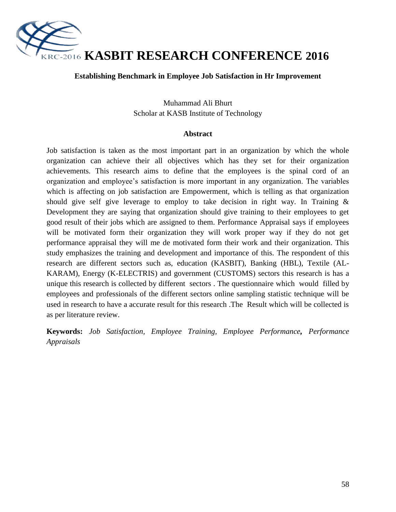

#### **Establishing Benchmark in Employee Job Satisfaction in Hr Improvement**

Muhammad Ali Bhurt Scholar at KASB Institute of Technology

#### **Abstract**

Job satisfaction is taken as the most important part in an organization by which the whole organization can achieve their all objectives which has they set for their organization achievements. This research aims to define that the employees is the spinal cord of an organization and employee's satisfaction is more important in any organization. The variables which is affecting on job satisfaction are Empowerment, which is telling as that organization should give self give leverage to employ to take decision in right way. In Training & Development they are saying that organization should give training to their employees to get good result of their jobs which are assigned to them. Performance Appraisal says if employees will be motivated form their organization they will work proper way if they do not get performance appraisal they will me de motivated form their work and their organization. This study emphasizes the training and development and importance of this. The respondent of this research are different sectors such as, education (KASBIT), Banking (HBL), Textile (AL-KARAM), Energy (K-ELECTRIS) and government (CUSTOMS) sectors this research is has a unique this research is collected by different sectors . The questionnaire which would filled by employees and professionals of the different sectors online sampling statistic technique will be used in research to have a accurate result for this research .The Result which will be collected is as per literature review.

**Keywords:** *Job Satisfaction, Employee Training, Employee Performance, Performance Appraisals*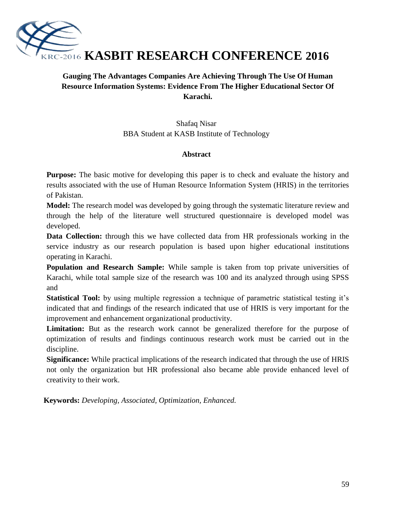

# **Gauging The Advantages Companies Are Achieving Through The Use Of Human Resource Information Systems: Evidence From The Higher Educational Sector Of Karachi.**

Shafaq Nisar BBA Student at KASB Institute of Technology

# **Abstract**

**Purpose:** The basic motive for developing this paper is to check and evaluate the history and results associated with the use of Human Resource Information System (HRIS) in the territories of Pakistan.

**Model:** The research model was developed by going through the systematic literature review and through the help of the literature well structured questionnaire is developed model was developed.

**Data Collection:** through this we have collected data from HR professionals working in the service industry as our research population is based upon higher educational institutions operating in Karachi.

**Population and Research Sample:** While sample is taken from top private universities of Karachi, while total sample size of the research was 100 and its analyzed through using SPSS and

**Statistical Tool:** by using multiple regression a technique of parametric statistical testing it's indicated that and findings of the research indicated that use of HRIS is very important for the improvement and enhancement organizational productivity.

**Limitation:** But as the research work cannot be generalized therefore for the purpose of optimization of results and findings continuous research work must be carried out in the discipline.

**Significance:** While practical implications of the research indicated that through the use of HRIS not only the organization but HR professional also became able provide enhanced level of creativity to their work.

**Keywords:** *Developing, Associated, Optimization, Enhanced.*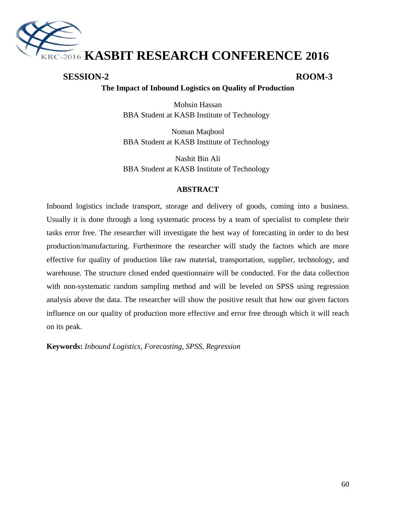

# **SESSION-2 ROOM-3**

# **The Impact of Inbound Logistics on Quality of Production**

Mohsin Hassan BBA Student at KASB Institute of Technology

Noman Maqbool BBA Student at KASB Institute of Technology

Nashit Bin Ali BBA Student at KASB Institute of Technology

#### **ABSTRACT**

Inbound logistics include transport, storage and delivery of goods, coming into a business. Usually it is done through a long systematic process by a team of specialist to complete their tasks error free. The researcher will investigate the best way of forecasting in order to do best production/manufacturing. Furthermore the researcher will study the factors which are more effective for quality of production like raw material, transportation, supplier, technology, and warehouse. The structure closed ended questionnaire will be conducted. For the data collection with non-systematic random sampling method and will be leveled on SPSS using regression analysis above the data. The researcher will show the positive result that how our given factors influence on our quality of production more effective and error free through which it will reach on its peak.

**Keywords:** *Inbound Logistics, Forecasting, SPSS, Regression*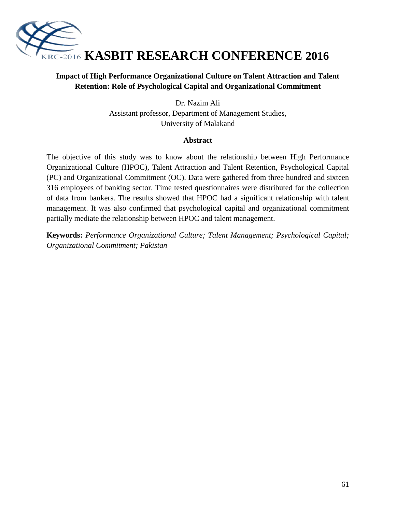

# **Impact of High Performance Organizational Culture on Talent Attraction and Talent Retention: Role of Psychological Capital and Organizational Commitment**

Dr. Nazim Ali Assistant professor, Department of Management Studies, University of Malakand

### **Abstract**

The objective of this study was to know about the relationship between High Performance Organizational Culture (HPOC), Talent Attraction and Talent Retention, Psychological Capital (PC) and Organizational Commitment (OC). Data were gathered from three hundred and sixteen 316 employees of banking sector. Time tested questionnaires were distributed for the collection of data from bankers. The results showed that HPOC had a significant relationship with talent management. It was also confirmed that psychological capital and organizational commitment partially mediate the relationship between HPOC and talent management.

**Keywords:** *Performance Organizational Culture; Talent Management; Psychological Capital; Organizational Commitment; Pakistan*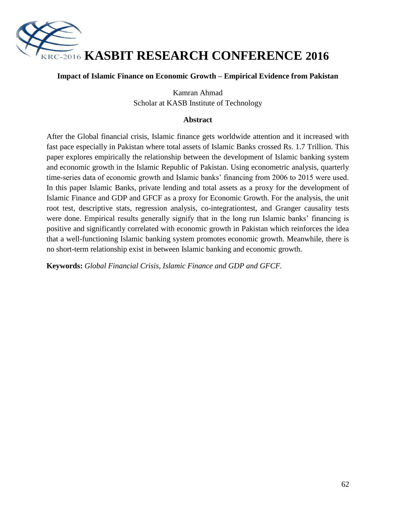

#### **Impact of Islamic Finance on Economic Growth – Empirical Evidence from Pakistan**

Kamran Ahmad Scholar at KASB Institute of Technology

#### **Abstract**

After the Global financial crisis, Islamic finance gets worldwide attention and it increased with fast pace especially in Pakistan where total assets of Islamic Banks crossed Rs. 1.7 Trillion. This paper explores empirically the relationship between the development of Islamic banking system and economic growth in the Islamic Republic of Pakistan. Using econometric analysis, quarterly time-series data of economic growth and Islamic banks' financing from 2006 to 2015 were used. In this paper Islamic Banks, private lending and total assets as a proxy for the development of Islamic Finance and GDP and GFCF as a proxy for Economic Growth. For the analysis, the unit root test, descriptive stats, regression analysis, co-integrationtest, and Granger causality tests were done. Empirical results generally signify that in the long run Islamic banks" financing is positive and significantly correlated with economic growth in Pakistan which reinforces the idea that a well-functioning Islamic banking system promotes economic growth. Meanwhile, there is no short-term relationship exist in between Islamic banking and economic growth.

**Keywords:** *Global Financial Crisis, Islamic Finance and GDP and GFCF.*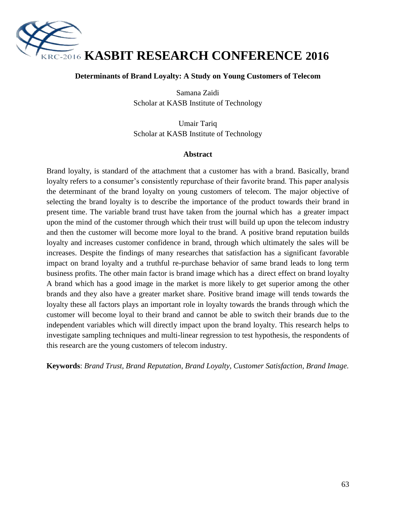

#### **Determinants of Brand Loyalty: A Study on Young Customers of Telecom**

Samana Zaidi Scholar at KASB Institute of Technology

Umair Tariq Scholar at KASB Institute of Technology

#### **Abstract**

Brand loyalty, is standard of the attachment that a customer has with a brand. Basically, brand loyalty refers to a consumer's consistently repurchase of their favorite brand. This paper analysis the determinant of the brand loyalty on young customers of telecom. The major objective of selecting the brand loyalty is to describe the importance of the product towards their brand in present time. The variable brand trust have taken from the journal which has a greater impact upon the mind of the customer through which their trust will build up upon the telecom industry and then the customer will become more loyal to the brand. A positive brand reputation builds loyalty and increases customer confidence in brand, through which ultimately the sales will be increases. Despite the findings of many researches that satisfaction has a significant favorable impact on brand loyalty and a truthful re-purchase behavior of same brand leads to long term business profits. The other main factor is brand image which has a direct effect on brand loyalty A brand which has a good image in the market is more likely to get superior among the other brands and they also have a greater market share. Positive brand image will tends towards the loyalty these all factors plays an important role in loyalty towards the brands through which the customer will become loyal to their brand and cannot be able to switch their brands due to the independent variables which will directly impact upon the brand loyalty. This research helps to investigate sampling techniques and multi-linear regression to test hypothesis, the respondents of this research are the young customers of telecom industry.

**Keywords**: *Brand Trust, Brand Reputation, Brand Loyalty, Customer Satisfaction, Brand Image.*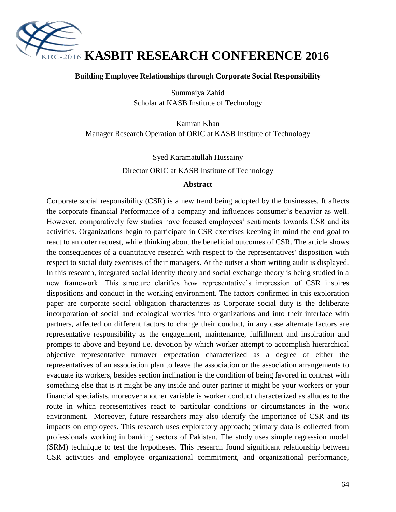

#### **Building Employee Relationships through Corporate Social Responsibility**

Summaiya Zahid Scholar at KASB Institute of Technology

Kamran Khan Manager Research Operation of ORIC at KASB Institute of Technology

> Syed Karamatullah Hussainy Director ORIC at KASB Institute of Technology

#### **Abstract**

Corporate social responsibility (CSR) is a new trend being adopted by the businesses. It affects the corporate financial Performance of a company and influences consumer"s behavior as well. However, comparatively few studies have focused employees" sentiments towards CSR and its activities. Organizations begin to participate in CSR exercises keeping in mind the end goal to react to an outer request, while thinking about the beneficial outcomes of CSR. The article shows the consequences of a quantitative research with respect to the representatives' disposition with respect to social duty exercises of their managers. At the outset a short writing audit is displayed. In this research, integrated social identity theory and social exchange theory is being studied in a new framework. This structure clarifies how representative"s impression of CSR inspires dispositions and conduct in the working environment. The factors confirmed in this exploration paper are corporate social obligation characterizes as Corporate social duty is the deliberate incorporation of social and ecological worries into organizations and into their interface with partners, affected on different factors to change their conduct, in any case alternate factors are representative responsibility as the engagement, maintenance, fulfillment and inspiration and prompts to above and beyond i.e. devotion by which worker attempt to accomplish hierarchical objective representative turnover expectation characterized as a degree of either the representatives of an association plan to leave the association or the association arrangements to evacuate its workers, besides section inclination is the condition of being favored in contrast with something else that is it might be any inside and outer partner it might be your workers or your financial specialists, moreover another variable is worker conduct characterized as alludes to the route in which representatives react to particular conditions or circumstances in the work environment. Moreover, future researchers may also identify the importance of CSR and its impacts on employees. This research uses exploratory approach; primary data is collected from professionals working in banking sectors of Pakistan. The study uses simple regression model (SRM) technique to test the hypotheses. This research found significant relationship between CSR activities and employee organizational commitment, and organizational performance,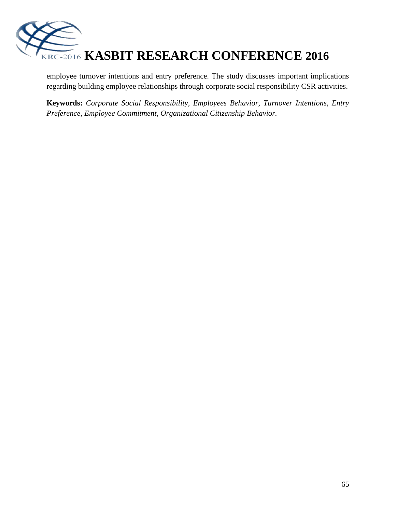

employee turnover intentions and entry preference. The study discusses important implications regarding building employee relationships through corporate social responsibility CSR activities.

**Keywords:** *Corporate Social Responsibility, Employees Behavior, Turnover Intentions, Entry Preference, Employee Commitment, Organizational Citizenship Behavior.*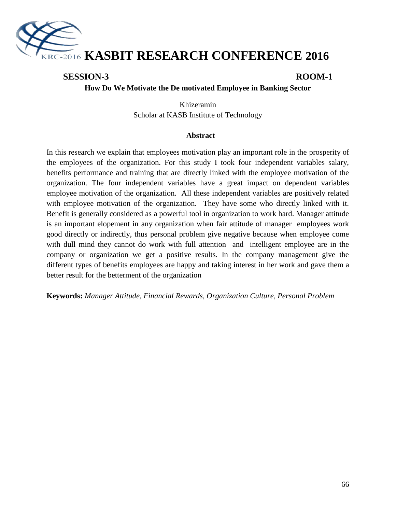

# **SESSION-3 ROOM-1**

#### **How Do We Motivate the De motivated Employee in Banking Sector**

Khizeramin Scholar at KASB Institute of Technology

#### **Abstract**

In this research we explain that employees motivation play an important role in the prosperity of the employees of the organization. For this study I took four independent variables salary, benefits performance and training that are directly linked with the employee motivation of the organization. The four independent variables have a great impact on dependent variables employee motivation of the organization. All these independent variables are positively related with employee motivation of the organization. They have some who directly linked with it. Benefit is generally considered as a powerful tool in organization to work hard. Manager attitude is an important elopement in any organization when fair attitude of manager employees work good directly or indirectly, thus personal problem give negative because when employee come with dull mind they cannot do work with full attention and intelligent employee are in the company or organization we get a positive results. In the company management give the different types of benefits employees are happy and taking interest in her work and gave them a better result for the betterment of the organization

**Keywords:** *Manager Attitude, Financial Rewards, Organization Culture, Personal Problem*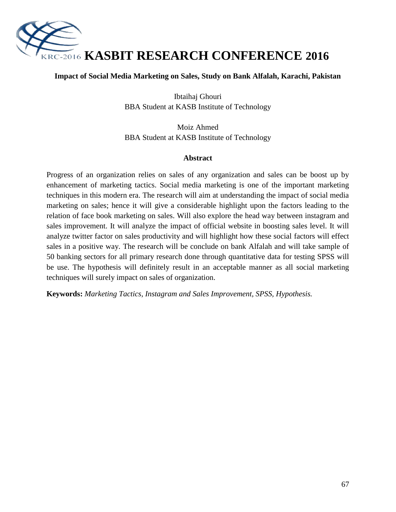

#### **Impact of Social Media Marketing on Sales, Study on Bank Alfalah, Karachi, Pakistan**

Ibtaihaj Ghouri BBA Student at KASB Institute of Technology

Moiz Ahmed BBA Student at KASB Institute of Technology

#### **Abstract**

Progress of an organization relies on sales of any organization and sales can be boost up by enhancement of marketing tactics. Social media marketing is one of the important marketing techniques in this modern era. The research will aim at understanding the impact of social media marketing on sales; hence it will give a considerable highlight upon the factors leading to the relation of face book marketing on sales. Will also explore the head way between instagram and sales improvement. It will analyze the impact of official website in boosting sales level. It will analyze twitter factor on sales productivity and will highlight how these social factors will effect sales in a positive way. The research will be conclude on bank Alfalah and will take sample of 50 banking sectors for all primary research done through quantitative data for testing SPSS will be use. The hypothesis will definitely result in an acceptable manner as all social marketing techniques will surely impact on sales of organization.

**Keywords:** *Marketing Tactics, Instagram and Sales Improvement, SPSS, Hypothesis.*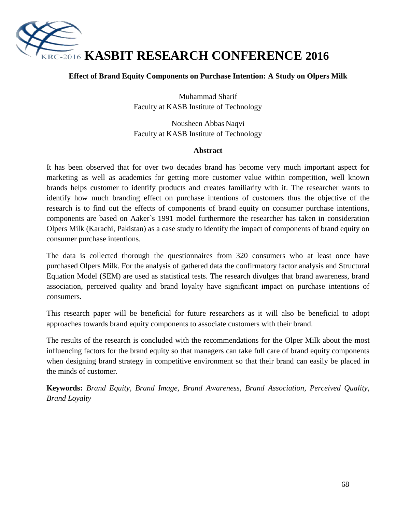

# **Effect of Brand Equity Components on Purchase Intention: A Study on Olpers Milk**

Muhammad Sharif Faculty at KASB Institute of Technology

Nousheen Abbas Naqvi Faculty at KASB Institute of Technology

#### **Abstract**

It has been observed that for over two decades brand has become very much important aspect for marketing as well as academics for getting more customer value within competition, well known brands helps customer to identify products and creates familiarity with it. The researcher wants to identify how much branding effect on purchase intentions of customers thus the objective of the research is to find out the effects of components of brand equity on consumer purchase intentions, components are based on Aaker`s 1991 model furthermore the researcher has taken in consideration Olpers Milk (Karachi, Pakistan) as a case study to identify the impact of components of brand equity on consumer purchase intentions.

The data is collected thorough the questionnaires from 320 consumers who at least once have purchased Olpers Milk. For the analysis of gathered data the confirmatory factor analysis and Structural Equation Model (SEM) are used as statistical tests. The research divulges that brand awareness, brand association, perceived quality and brand loyalty have significant impact on purchase intentions of consumers.

This research paper will be beneficial for future researchers as it will also be beneficial to adopt approaches towards brand equity components to associate customers with their brand.

The results of the research is concluded with the recommendations for the Olper Milk about the most influencing factors for the brand equity so that managers can take full care of brand equity components when designing brand strategy in competitive environment so that their brand can easily be placed in the minds of customer.

**Keywords:** *Brand Equity, Brand Image, Brand Awareness, Brand Association, Perceived Quality, Brand Loyalty*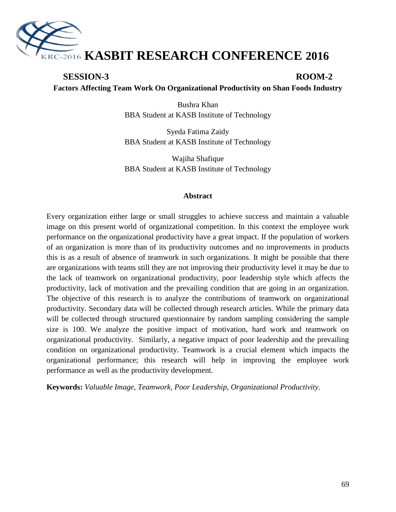

# **SESSION-3 ROOM-2 Factors Affecting Team Work On Organizational Productivity on Shan Foods Industry**

Bushra Khan BBA Student at KASB Institute of Technology

Syeda Fatima Zaidy BBA Student at KASB Institute of Technology

Wajiha Shafique BBA Student at KASB Institute of Technology

#### **Abstract**

Every organization either large or small struggles to achieve success and maintain a valuable image on this present world of organizational competition. In this context the employee work performance on the organizational productivity have a great impact. If the population of workers of an organization is more than of its productivity outcomes and no improvements in products this is as a result of absence of teamwork in such organizations. It might be possible that there are organizations with teams still they are not improving their productivity level it may be due to the lack of teamwork on organizational productivity, poor leadership style which affects the productivity, lack of motivation and the prevailing condition that are going in an organization. The objective of this research is to analyze the contributions of teamwork on organizational productivity. Secondary data will be collected through research articles. While the primary data will be collected through structured questionnaire by random sampling considering the sample size is 100. We analyze the positive impact of motivation, hard work and teamwork on organizational productivity. Similarly, a negative impact of poor leadership and the prevailing condition on organizational productivity. Teamwork is a crucial element which impacts the organizational performance; this research will help in improving the employee work performance as well as the productivity development.

**Keywords:** *Valuable Image, Teamwork, Poor Leadership, Organizational Productivity.*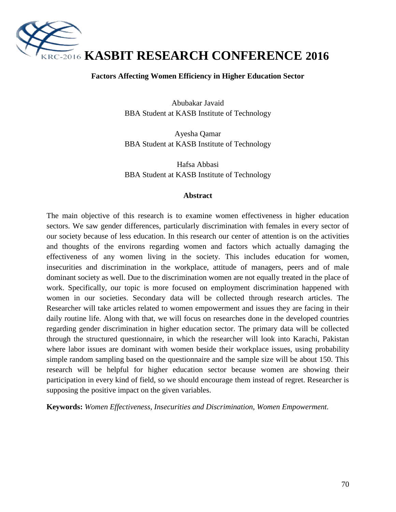

#### **Factors Affecting Women Efficiency in Higher Education Sector**

Abubakar Javaid BBA Student at KASB Institute of Technology

Ayesha Qamar BBA Student at KASB Institute of Technology

Hafsa Abbasi BBA Student at KASB Institute of Technology

#### **Abstract**

The main objective of this research is to examine women effectiveness in higher education sectors. We saw gender differences, particularly discrimination with females in every sector of our society because of less education. In this research our center of attention is on the activities and thoughts of the environs regarding women and factors which actually damaging the effectiveness of any women living in the society. This includes education for women, insecurities and discrimination in the workplace, attitude of managers, peers and of male dominant society as well. Due to the discrimination women are not equally treated in the place of work. Specifically, our topic is more focused on employment discrimination happened with women in our societies. Secondary data will be collected through research articles. The Researcher will take articles related to women empowerment and issues they are facing in their daily routine life. Along with that, we will focus on researches done in the developed countries regarding gender discrimination in higher education sector. The primary data will be collected through the structured questionnaire, in which the researcher will look into Karachi, Pakistan where labor issues are dominant with women beside their workplace issues, using probability simple random sampling based on the questionnaire and the sample size will be about 150. This research will be helpful for higher education sector because women are showing their participation in every kind of field, so we should encourage them instead of regret. Researcher is supposing the positive impact on the given variables.

**Keywords:** *Women Effectiveness, Insecurities and Discrimination, Women Empowerment.*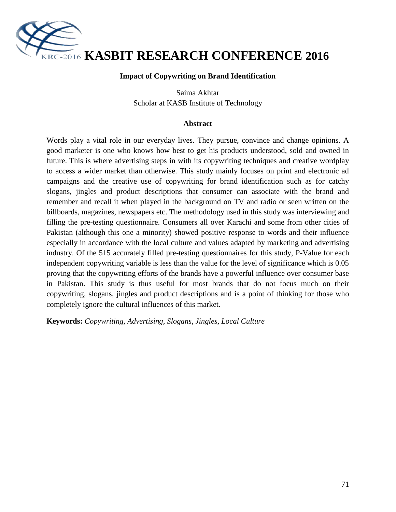

#### **Impact of Copywriting on Brand Identification**

Saima Akhtar Scholar at KASB Institute of Technology

#### **Abstract**

Words play a vital role in our everyday lives. They pursue, convince and change opinions. A good marketer is one who knows how best to get his products understood, sold and owned in future. This is where advertising steps in with its copywriting techniques and creative wordplay to access a wider market than otherwise. This study mainly focuses on print and electronic ad campaigns and the creative use of copywriting for brand identification such as for catchy slogans, jingles and product descriptions that consumer can associate with the brand and remember and recall it when played in the background on TV and radio or seen written on the billboards, magazines, newspapers etc. The methodology used in this study was interviewing and filling the pre-testing questionnaire. Consumers all over Karachi and some from other cities of Pakistan (although this one a minority) showed positive response to words and their influence especially in accordance with the local culture and values adapted by marketing and advertising industry. Of the 515 accurately filled pre-testing questionnaires for this study, P-Value for each independent copywriting variable is less than the value for the level of significance which is 0.05 proving that the copywriting efforts of the brands have a powerful influence over consumer base in Pakistan. This study is thus useful for most brands that do not focus much on their copywriting, slogans, jingles and product descriptions and is a point of thinking for those who completely ignore the cultural influences of this market.

**Keywords:** *Copywriting, Advertising, Slogans, Jingles, Local Culture*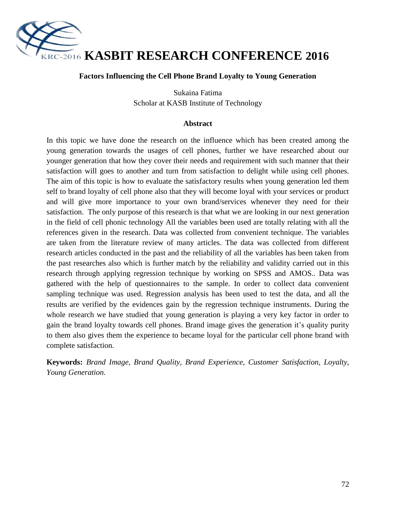

#### **Factors Influencing the Cell Phone Brand Loyalty to Young Generation**

Sukaina Fatima Scholar at KASB Institute of Technology

#### **Abstract**

In this topic we have done the research on the influence which has been created among the young generation towards the usages of cell phones, further we have researched about our younger generation that how they cover their needs and requirement with such manner that their satisfaction will goes to another and turn from satisfaction to delight while using cell phones. The aim of this topic is how to evaluate the satisfactory results when young generation led them self to brand loyalty of cell phone also that they will become loyal with your services or product and will give more importance to your own brand/services whenever they need for their satisfaction. The only purpose of this research is that what we are looking in our next generation in the field of cell phonic technology All the variables been used are totally relating with all the references given in the research. Data was collected from convenient technique. The variables are taken from the literature review of many articles. The data was collected from different research articles conducted in the past and the reliability of all the variables has been taken from the past researches also which is further match by the reliability and validity carried out in this research through applying regression technique by working on SPSS and AMOS.. Data was gathered with the help of questionnaires to the sample. In order to collect data convenient sampling technique was used. Regression analysis has been used to test the data, and all the results are verified by the evidences gain by the regression technique instruments. During the whole research we have studied that young generation is playing a very key factor in order to gain the brand loyalty towards cell phones. Brand image gives the generation it's quality purity to them also gives them the experience to became loyal for the particular cell phone brand with complete satisfaction.

**Keywords:** *Brand Image, Brand Quality, Brand Experience, Customer Satisfaction, Loyalty, Young Generation.*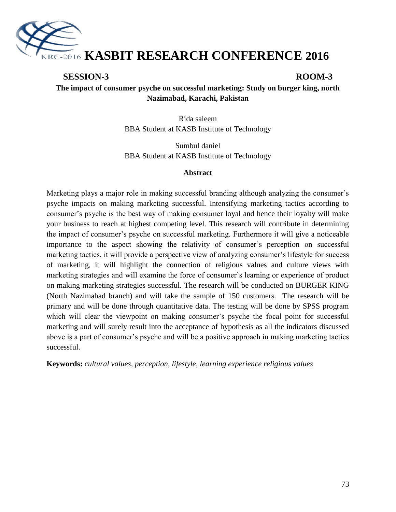

# **SESSION-3 ROOM-3**

**The impact of consumer psyche on successful marketing: Study on burger king, north Nazimabad, Karachi, Pakistan**

> Rida saleem BBA Student at KASB Institute of Technology

> Sumbul daniel BBA Student at KASB Institute of Technology

#### **Abstract**

Marketing plays a major role in making successful branding although analyzing the consumer's psyche impacts on making marketing successful. Intensifying marketing tactics according to consumer"s psyche is the best way of making consumer loyal and hence their loyalty will make your business to reach at highest competing level. This research will contribute in determining the impact of consumer"s psyche on successful marketing. Furthermore it will give a noticeable importance to the aspect showing the relativity of consumer's perception on successful marketing tactics, it will provide a perspective view of analyzing consumer's lifestyle for success of marketing, it will highlight the connection of religious values and culture views with marketing strategies and will examine the force of consumer's learning or experience of product on making marketing strategies successful. The research will be conducted on BURGER KING (North Nazimabad branch) and will take the sample of 150 customers. The research will be primary and will be done through quantitative data. The testing will be done by SPSS program which will clear the viewpoint on making consumer's psyche the focal point for successful marketing and will surely result into the acceptance of hypothesis as all the indicators discussed above is a part of consumer's psyche and will be a positive approach in making marketing tactics successful.

**Keywords:** *cultural values, perception, lifestyle, learning experience religious values*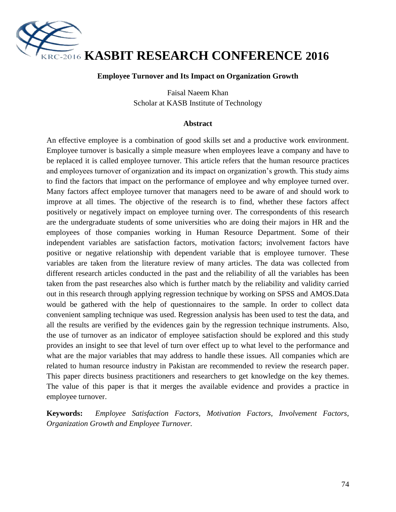

#### **Employee Turnover and Its Impact on Organization Growth**

Faisal Naeem Khan Scholar at KASB Institute of Technology

#### **Abstract**

An effective employee is a combination of good skills set and a productive work environment. Employee turnover is basically a simple measure when employees leave a company and have to be replaced it is called employee turnover. This article refers that the human resource practices and employees turnover of organization and its impact on organization"s growth. This study aims to find the factors that impact on the performance of employee and why employee turned over. Many factors affect employee turnover that managers need to be aware of and should work to improve at all times. The objective of the research is to find, whether these factors affect positively or negatively impact on employee turning over. The correspondents of this research are the undergraduate students of some universities who are doing their majors in HR and the employees of those companies working in Human Resource Department. Some of their independent variables are satisfaction factors, motivation factors; involvement factors have positive or negative relationship with dependent variable that is employee turnover. These variables are taken from the literature review of many articles. The data was collected from different research articles conducted in the past and the reliability of all the variables has been taken from the past researches also which is further match by the reliability and validity carried out in this research through applying regression technique by working on SPSS and AMOS.Data would be gathered with the help of questionnaires to the sample. In order to collect data convenient sampling technique was used. Regression analysis has been used to test the data, and all the results are verified by the evidences gain by the regression technique instruments. Also, the use of turnover as an indicator of employee satisfaction should be explored and this study provides an insight to see that level of turn over effect up to what level to the performance and what are the major variables that may address to handle these issues. All companies which are related to human resource industry in Pakistan are recommended to review the research paper. This paper directs business practitioners and researchers to get knowledge on the key themes. The value of this paper is that it merges the available evidence and provides a practice in employee turnover.

**Keywords:** *Employee Satisfaction Factors, Motivation Factors, Involvement Factors, Organization Growth and Employee Turnover.*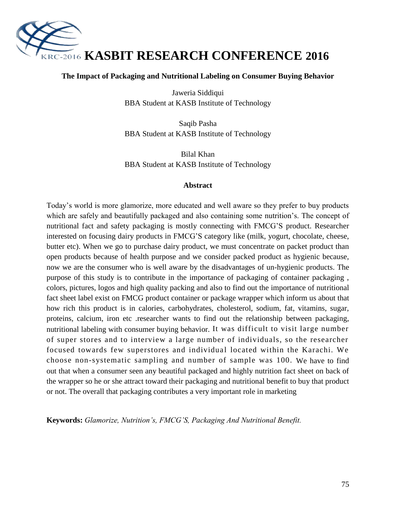

#### **The Impact of Packaging and Nutritional Labeling on Consumer Buying Behavior**

Jaweria Siddiqui BBA Student at KASB Institute of Technology

Saqib Pasha BBA Student at KASB Institute of Technology

Bilal Khan BBA Student at KASB Institute of Technology

#### **Abstract**

Today"s world is more glamorize, more educated and well aware so they prefer to buy products which are safely and beautifully packaged and also containing some nutrition's. The concept of nutritional fact and safety packaging is mostly connecting with FMCG"S product. Researcher interested on focusing dairy products in FMCG"S category like (milk, yogurt, chocolate, cheese, butter etc). When we go to purchase dairy product, we must concentrate on packet product than open products because of health purpose and we consider packed product as hygienic because, now we are the consumer who is well aware by the disadvantages of un-hygienic products. The purpose of this study is to contribute in the importance of packaging of container packaging , colors, pictures, logos and high quality packing and also to find out the importance of nutritional fact sheet label exist on FMCG product container or package wrapper which inform us about that how rich this product is in calories, carbohydrates, cholesterol, sodium, fat, vitamins, sugar, proteins, calcium, iron etc .researcher wants to find out the relationship between packaging, nutritional labeling with consumer buying behavior. It was difficult to visit large number of super stores and to interview a large number of individuals, so the researcher focused towards few superstores and individual located within the Karachi. We choose non-systematic sampling and number of sample was 100. We have to find out that when a consumer seen any beautiful packaged and highly nutrition fact sheet on back of the wrapper so he or she attract toward their packaging and nutritional benefit to buy that product or not. The overall that packaging contributes a very important role in marketing

**Keywords:** *Glamorize, Nutrition's, FMCG'S, Packaging And Nutritional Benefit.*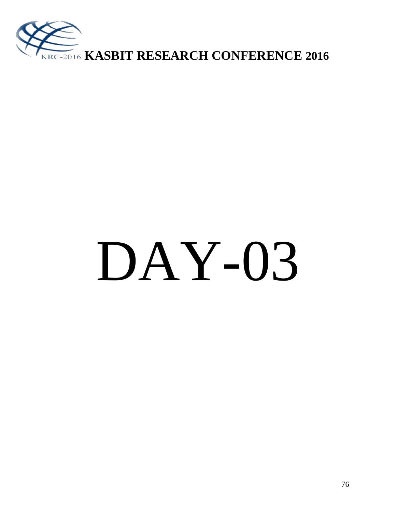

# DAY-03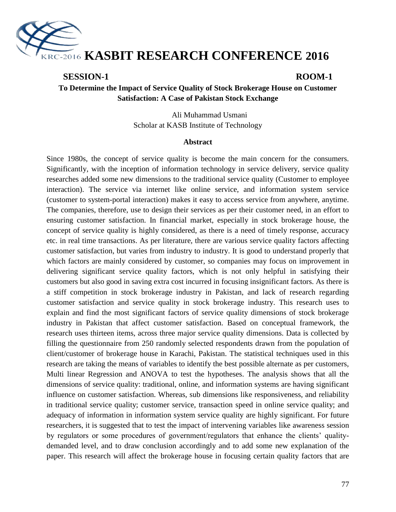

### **SESSION-1 ROOM-1**

**To Determine the Impact of Service Quality of Stock Brokerage House on Customer Satisfaction: A Case of Pakistan Stock Exchange**

> Ali Muhammad Usmani Scholar at KASB Institute of Technology

#### **Abstract**

Since 1980s, the concept of service quality is become the main concern for the consumers. Significantly, with the inception of information technology in service delivery, service quality researches added some new dimensions to the traditional service quality (Customer to employee interaction). The service via internet like online service, and information system service (customer to system-portal interaction) makes it easy to access service from anywhere, anytime. The companies, therefore, use to design their services as per their customer need, in an effort to ensuring customer satisfaction. In financial market, especially in stock brokerage house, the concept of service quality is highly considered, as there is a need of timely response, accuracy etc. in real time transactions. As per literature, there are various service quality factors affecting customer satisfaction, but varies from industry to industry. It is good to understand properly that which factors are mainly considered by customer, so companies may focus on improvement in delivering significant service quality factors, which is not only helpful in satisfying their customers but also good in saving extra cost incurred in focusing insignificant factors. As there is a stiff competition in stock brokerage industry in Pakistan, and lack of research regarding customer satisfaction and service quality in stock brokerage industry. This research uses to explain and find the most significant factors of service quality dimensions of stock brokerage industry in Pakistan that affect customer satisfaction. Based on conceptual framework, the research uses thirteen items, across three major service quality dimensions. Data is collected by filling the questionnaire from 250 randomly selected respondents drawn from the population of client/customer of brokerage house in Karachi, Pakistan. The statistical techniques used in this research are taking the means of variables to identify the best possible alternate as per customers, Multi linear Regression and ANOVA to test the hypotheses. The analysis shows that all the dimensions of service quality: traditional, online, and information systems are having significant influence on customer satisfaction. Whereas, sub dimensions like responsiveness, and reliability in traditional service quality; customer service, transaction speed in online service quality; and adequacy of information in information system service quality are highly significant. For future researchers, it is suggested that to test the impact of intervening variables like awareness session by regulators or some procedures of government/regulators that enhance the clients" qualitydemanded level, and to draw conclusion accordingly and to add some new explanation of the paper. This research will affect the brokerage house in focusing certain quality factors that are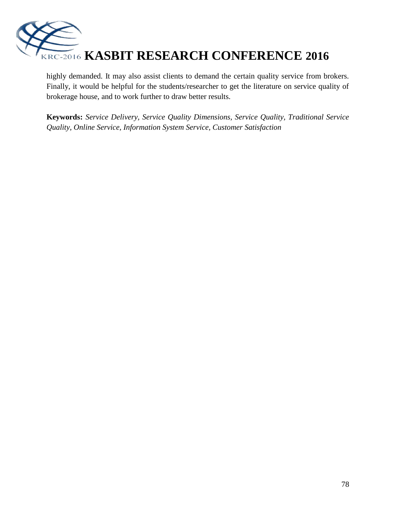

highly demanded. It may also assist clients to demand the certain quality service from brokers. Finally, it would be helpful for the students/researcher to get the literature on service quality of brokerage house, and to work further to draw better results.

**Keywords:** *Service Delivery, Service Quality Dimensions, Service Quality, Traditional Service Quality, Online Service, Information System Service, Customer Satisfaction*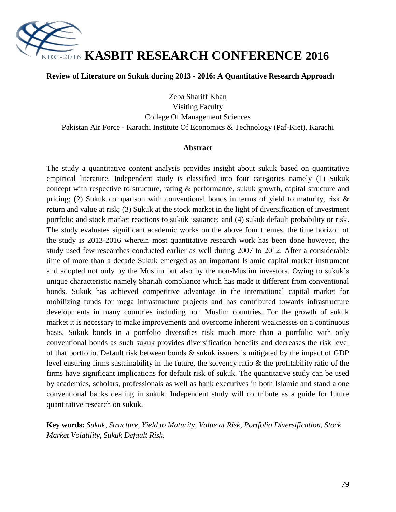

#### **Review of Literature on Sukuk during 2013 - 2016: A Quantitative Research Approach**

Zeba Shariff Khan Visiting Faculty College Of Management Sciences Pakistan Air Force - Karachi Institute Of Economics & Technology (Paf-Kiet), Karachi

#### **Abstract**

The study a quantitative content analysis provides insight about sukuk based on quantitative empirical literature. Independent study is classified into four categories namely (1) Sukuk concept with respective to structure, rating & performance, sukuk growth, capital structure and pricing; (2) Sukuk comparison with conventional bonds in terms of yield to maturity, risk & return and value at risk; (3) Sukuk at the stock market in the light of diversification of investment portfolio and stock market reactions to sukuk issuance; and (4) sukuk default probability or risk. The study evaluates significant academic works on the above four themes, the time horizon of the study is 2013-2016 wherein most quantitative research work has been done however, the study used few researches conducted earlier as well during 2007 to 2012. After a considerable time of more than a decade Sukuk emerged as an important Islamic capital market instrument and adopted not only by the Muslim but also by the non-Muslim investors. Owing to sukuk"s unique characteristic namely Shariah compliance which has made it different from conventional bonds. Sukuk has achieved competitive advantage in the international capital market for mobilizing funds for mega infrastructure projects and has contributed towards infrastructure developments in many countries including non Muslim countries. For the growth of sukuk market it is necessary to make improvements and overcome inherent weaknesses on a continuous basis. Sukuk bonds in a portfolio diversifies risk much more than a portfolio with only conventional bonds as such sukuk provides diversification benefits and decreases the risk level of that portfolio. Default risk between bonds & sukuk issuers is mitigated by the impact of GDP level ensuring firms sustainability in the future, the solvency ratio & the profitability ratio of the firms have significant implications for default risk of sukuk. The quantitative study can be used by academics, scholars, professionals as well as bank executives in both Islamic and stand alone conventional banks dealing in sukuk. Independent study will contribute as a guide for future quantitative research on sukuk.

**Key words:** *Sukuk, Structure, Yield to Maturity, Value at Risk, Portfolio Diversification, Stock Market Volatility, Sukuk Default Risk.*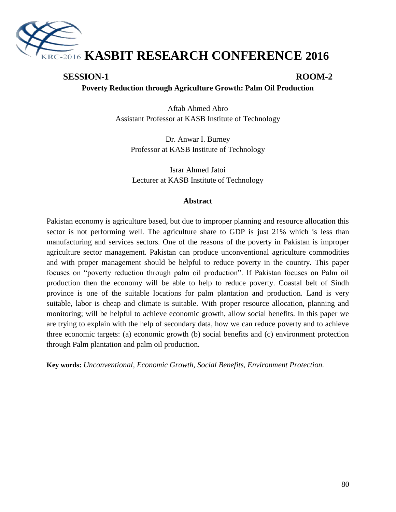

# **SESSION-1 ROOM-2**

**Poverty Reduction through Agriculture Growth: Palm Oil Production**

Aftab Ahmed Abro Assistant Professor at KASB Institute of Technology

Dr. Anwar I. Burney Professor at KASB Institute of Technology

Israr Ahmed Jatoi Lecturer at KASB Institute of Technology

#### **Abstract**

Pakistan economy is agriculture based, but due to improper planning and resource allocation this sector is not performing well. The agriculture share to GDP is just 21% which is less than manufacturing and services sectors. One of the reasons of the poverty in Pakistan is improper agriculture sector management. Pakistan can produce unconventional agriculture commodities and with proper management should be helpful to reduce poverty in the country. This paper focuses on "poverty reduction through palm oil production". If Pakistan focuses on Palm oil production then the economy will be able to help to reduce poverty. Coastal belt of Sindh province is one of the suitable locations for palm plantation and production. Land is very suitable, labor is cheap and climate is suitable. With proper resource allocation, planning and monitoring; will be helpful to achieve economic growth, allow social benefits. In this paper we are trying to explain with the help of secondary data, how we can reduce poverty and to achieve three economic targets: (a) economic growth (b) social benefits and (c) environment protection through Palm plantation and palm oil production.

**Key words:** *Unconventional, Economic Growth, Social Benefits, Environment Protection.*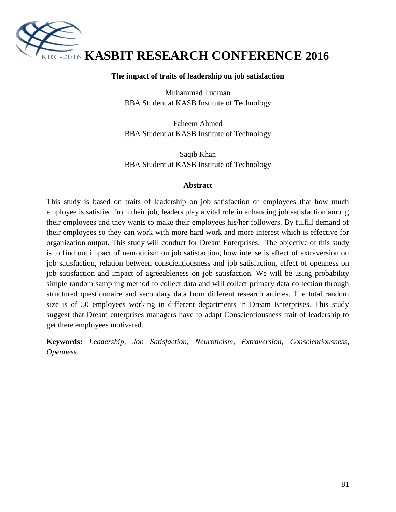

#### **The impact of traits of leadership on job satisfaction**

Muhammad Luqman BBA Student at KASB Institute of Technology

Faheem Ahmed BBA Student at KASB Institute of Technology

Saqib Khan BBA Student at KASB Institute of Technology

#### **Abstract**

This study is based on traits of leadership on job satisfaction of employees that how much employee is satisfied from their job, leaders play a vital role in enhancing job satisfaction among their employees and they wants to make their employees his/her followers. By fulfill demand of their employees so they can work with more hard work and more interest which is effective for organization output. This study will conduct for Dream Enterprises. The objective of this study is to find out impact of neuroticism on job satisfaction, how intense is effect of extraversion on job satisfaction, relation between conscientiousness and job satisfaction, effect of openness on job satisfaction and impact of agreeableness on job satisfaction. We will be using probability simple random sampling method to collect data and will collect primary data collection through structured questionnaire and secondary data from different research articles. The total random size is of 50 employees working in different departments in Dream Enterprises. This study suggest that Dream enterprises managers have to adapt Conscientiousness trait of leadership to get there employees motivated.

**Keywords:** *Leadership, Job Satisfaction, Neuroticism, Extraversion, Conscientiousness, Openness.*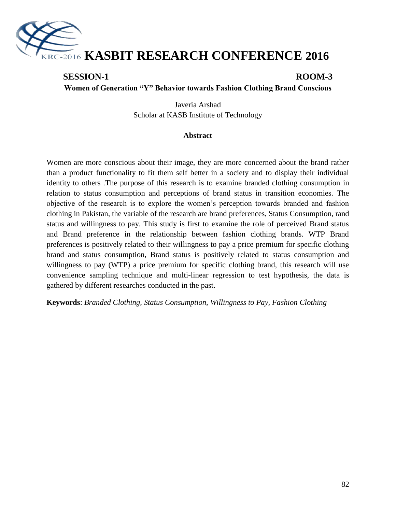

# **SESSION-1 ROOM-3 Women of Generation "Y" Behavior towards Fashion Clothing Brand Conscious**

Javeria Arshad Scholar at KASB Institute of Technology

#### **Abstract**

Women are more conscious about their image, they are more concerned about the brand rather than a product functionality to fit them self better in a society and to display their individual identity to others .The purpose of this research is to examine branded clothing consumption in relation to status consumption and perceptions of brand status in transition economies. The objective of the research is to explore the women"s perception towards branded and fashion clothing in Pakistan, the variable of the research are brand preferences, Status Consumption, rand status and willingness to pay. This study is first to examine the role of perceived Brand status and Brand preference in the relationship between fashion clothing brands. WTP Brand preferences is positively related to their willingness to pay a price premium for specific clothing brand and status consumption, Brand status is positively related to status consumption and willingness to pay (WTP) a price premium for specific clothing brand, this research will use convenience sampling technique and multi-linear regression to test hypothesis, the data is gathered by different researches conducted in the past.

**Keywords**: *Branded Clothing, Status Consumption, Willingness to Pay, Fashion Clothing*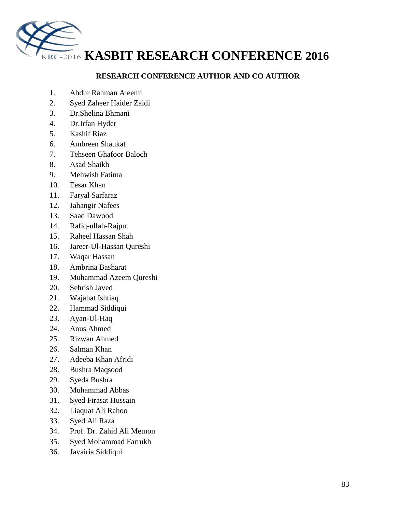

## **RESEARCH CONFERENCE AUTHOR AND CO AUTHOR**

- 1. Abdur Rahman Aleemi
- 2. Syed Zaheer Haider Zaidi
- 3. Dr.Shelina Bhmani
- 4. Dr.Irfan Hyder
- 5. Kashif Riaz
- 6. Ambreen Shaukat
- 7. Tehseen Ghafoor Baloch
- 8. Asad Shaikh
- 9. Mehwish Fatima
- 10. Eesar Khan
- 11. Faryal Sarfaraz
- 12. Jahangir Nafees
- 13. Saad Dawood
- 14. Rafiq-ullah-Rajput
- 15. Raheel Hassan Shah
- 16. Jareer-Ul-Hassan Qureshi
- 17. Waqar Hassan
- 18. Ambrina Basharat
- 19. Muhammad Azeem Qureshi
- 20. Sehrish Javed
- 21. Wajahat Ishtiaq
- 22. Hammad Siddiqui
- 23. Ayan-Ul-Haq
- 24. Anus Ahmed
- 25. Rizwan Ahmed
- 26. Salman Khan
- 27. Adeeba Khan Afridi
- 28. Bushra Maqsood
- 29. Syeda Bushra
- 30. Muhammad Abbas
- 31. Syed Firasat Hussain
- 32. Liaquat Ali Rahoo
- 33. Syed Ali Raza
- 34. Prof. Dr. Zahid Ali Memon
- 35. Syed Mohammad Farrukh
- 36. Javairia Siddiqui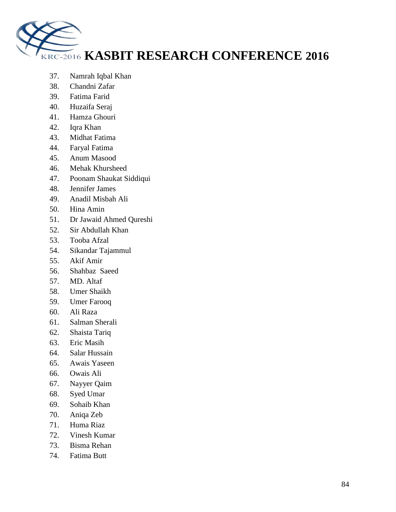

- 37. Namrah Iqbal Khan
- 38. Chandni Zafar
- 39. Fatima Farid
- 40. Huzaifa Seraj
- 41. Hamza Ghouri
- 42. Iqra Khan
- 43. Midhat Fatima
- 44. Faryal Fatima
- 45. Anum Masood
- 46. Mehak Khursheed
- 47. Poonam Shaukat Siddiqui
- 48. Jennifer James
- 49. Anadil Misbah Ali
- 50. Hina Amin
- 51. Dr Jawaid Ahmed Qureshi
- 52. Sir Abdullah Khan
- 53. Tooba Afzal
- 54. Sikandar Tajammul
- 55. Akif Amir
- 56. Shahbaz Saeed
- 57. MD. Altaf
- 58. Umer Shaikh
- 59. Umer Farooq
- 60. Ali Raza
- 61. Salman Sherali
- 62. Shaista Tariq
- 63. Eric Masih
- 64. Salar Hussain
- 65. Awais Yaseen
- 66. Owais Ali
- 67. Nayyer Qaim
- 68. Syed Umar
- 69. Sohaib Khan
- 70. Aniqa Zeb
- 71. Huma Riaz
- 72. Vinesh Kumar
- 73. Bisma Rehan
- 74. Fatima Butt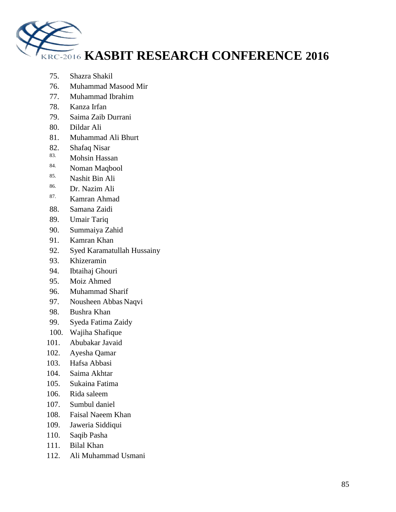

- 75. Shazra Shakil
- 76. Muhammad Masood Mir
- 77. Muhammad Ibrahim
- 78. Kanza Irfan
- 79. Saima Zaib Durrani
- 80. Dildar Ali
- 81. Muhammad Ali Bhurt
- 82. Shafaq Nisar
- $\frac{83.}{84.}$  Mohsin Hassan
- $\frac{84.}{85.}$  Noman Maqbool
- $\frac{85.}{86.}$  Nashit Bin Ali
- Dr. Nazim Ali
- 87. Kamran Ahmad
- 88. Samana Zaidi
- 89. Umair Tariq
- 90. Summaiya Zahid
- 91. Kamran Khan
- 92. Syed Karamatullah Hussainy
- 93. Khizeramin
- 94. Ibtaihaj Ghouri
- 95. Moiz Ahmed
- 96. Muhammad Sharif
- 97. Nousheen Abbas Naqvi
- 98. Bushra Khan
- 99. Syeda Fatima Zaidy
- 100. Wajiha Shafique
- 101. Abubakar Javaid
- 102. Ayesha Qamar
- 103. Hafsa Abbasi
- 104. Saima Akhtar
- 105. Sukaina Fatima
- 106. Rida saleem
- 107. Sumbul daniel
- 108. Faisal Naeem Khan
- 109. Jaweria Siddiqui
- 110. Saqib Pasha
- 111. Bilal Khan
- 112. Ali Muhammad Usmani